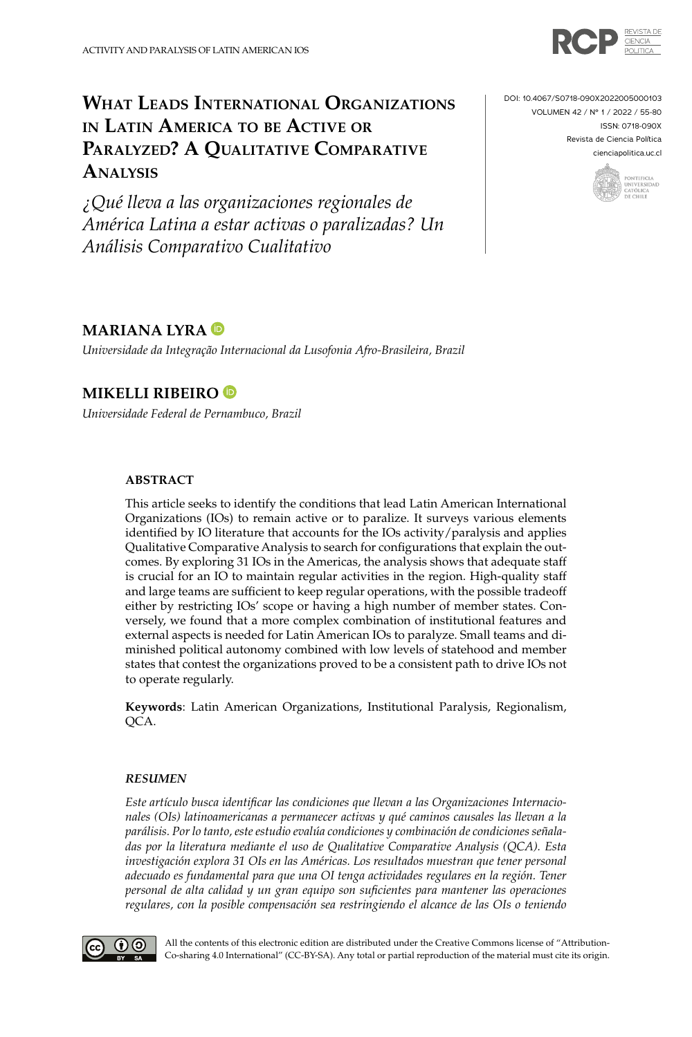

# **What Leads International Organizations in Latin America to be Active or Paralyzed? A Qualitative Comparative Analysis**

*¿Qué lleva a las organizaciones regionales de América Latina a estar activas o paralizadas? Un Análisis Comparativo Cualitativo*



ISSN: 0718-090X

Revista de Ciencia Política [cienciapolitica.uc.cl](http://www.cienciapolitica.uc.cl/)



## **MARIANA LYRA**

*Universidade da Integração Internacional da Lusofonia Afro-Brasileira, Brazil*

### **MIKELLI RIBEIRO**

*Universidade Federal de Pernambuco, Brazil*

#### **ABSTRACT**

This article seeks to identify the conditions that lead Latin American International Organizations (IOs) to remain active or to paralize. It surveys various elements identified by IO literature that accounts for the IOs activity/paralysis and applies Qualitative Comparative Analysis to search for configurations that explain the outcomes. By exploring 31 IOs in the Americas, the analysis shows that adequate staff is crucial for an IO to maintain regular activities in the region. High-quality staff and large teams are sufficient to keep regular operations, with the possible tradeoff either by restricting IOs' scope or having a high number of member states. Conversely, we found that a more complex combination of institutional features and external aspects is needed for Latin American IOs to paralyze. Small teams and diminished political autonomy combined with low levels of statehood and member states that contest the organizations proved to be a consistent path to drive IOs not to operate regularly.

**Keywords**: Latin American Organizations, Institutional Paralysis, Regionalism, OCA.

#### *RESUMEN*

*Este artículo busca identificar las condiciones que llevan a las Organizaciones Internacionales (OIs) latinoamericanas a permanecer activas y qué caminos causales las llevan a la parálisis. Por lo tanto, este estudio evalúa condiciones y combinación de condiciones señaladas por la literatura mediante el uso de Qualitative Comparative Analysis (QCA). Esta investigación explora 31 OIs en las Américas. Los resultados muestran que tener personal adecuado es fundamental para que una OI tenga actividades regulares en la región. Tener personal de alta calidad y un gran equipo son suficientes para mantener las operaciones regulares, con la posible compensación sea restringiendo el alcance de las OIs o teniendo* 



All the contents of this electronic edition are distributed under the Creative Commons license of "Attribution-Co-sharing 4.0 International" (CC-BY-SA). Any total or partial reproduction of the material must cite its origin.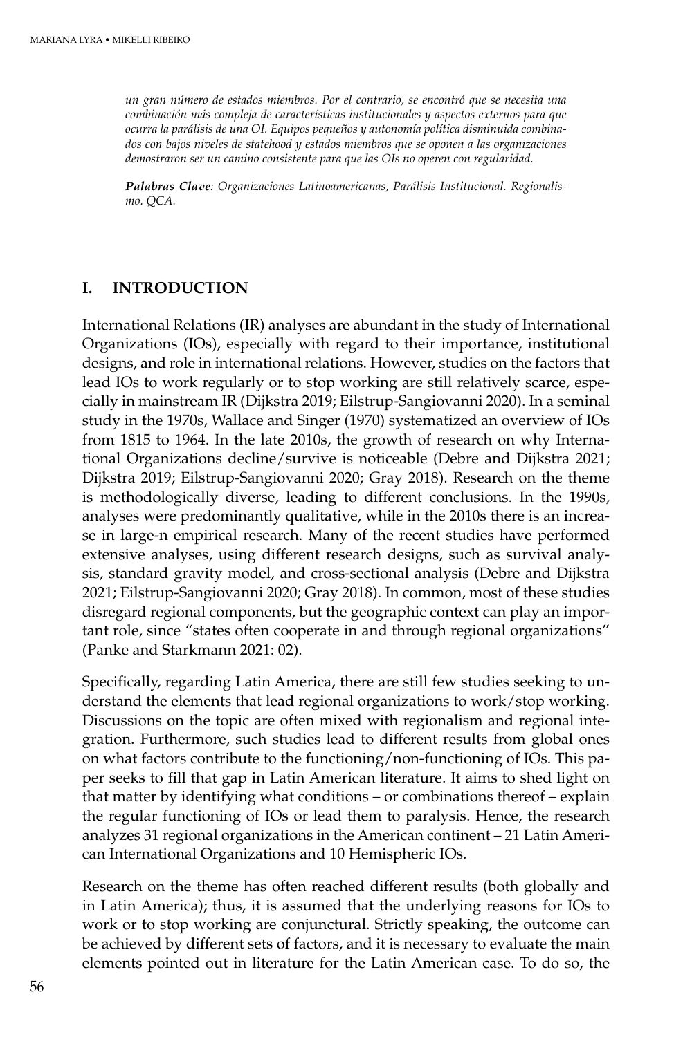*un gran número de estados miembros. Por el contrario, se encontró que se necesita una combinación más compleja de características institucionales y aspectos externos para que ocurra la parálisis de una OI. Equipos pequeños y autonomía política disminuida combinados con bajos niveles de statehood y estados miembros que se oponen a las organizaciones demostraron ser un camino consistente para que las OIs no operen con regularidad.*

*Palabras Clave: Organizaciones Latinoamericanas, Parálisis Institucional. Regionalismo. QCA.*

### **I. INTRODUCTION**

International Relations (IR) analyses are abundant in the study of International Organizations (IOs), especially with regard to their importance, institutional designs, and role in international relations. However, studies on the factors that lead IOs to work regularly or to stop working are still relatively scarce, especially in mainstream IR (Dijkstra 2019; Eilstrup-Sangiovanni 2020). In a seminal study in the 1970s, Wallace and Singer (1970) systematized an overview of IOs from 1815 to 1964. In the late 2010s, the growth of research on why International Organizations decline/survive is noticeable (Debre and Dijkstra 2021; Dijkstra 2019; Eilstrup-Sangiovanni 2020; Gray 2018). Research on the theme is methodologically diverse, leading to different conclusions. In the 1990s, analyses were predominantly qualitative, while in the 2010s there is an increase in large-n empirical research. Many of the recent studies have performed extensive analyses, using different research designs, such as survival analysis, standard gravity model, and cross-sectional analysis (Debre and Dijkstra 2021; Eilstrup-Sangiovanni 2020; Gray 2018). In common, most of these studies disregard regional components, but the geographic context can play an important role, since "states often cooperate in and through regional organizations" (Panke and Starkmann 2021: 02).

Specifically, regarding Latin America, there are still few studies seeking to understand the elements that lead regional organizations to work/stop working. Discussions on the topic are often mixed with regionalism and regional integration. Furthermore, such studies lead to different results from global ones on what factors contribute to the functioning/non-functioning of IOs. This paper seeks to fill that gap in Latin American literature. It aims to shed light on that matter by identifying what conditions – or combinations thereof – explain the regular functioning of IOs or lead them to paralysis. Hence, the research analyzes 31 regional organizations in the American continent – 21 Latin American International Organizations and 10 Hemispheric IOs.

Research on the theme has often reached different results (both globally and in Latin America); thus, it is assumed that the underlying reasons for IOs to work or to stop working are conjunctural. Strictly speaking, the outcome can be achieved by different sets of factors, and it is necessary to evaluate the main elements pointed out in literature for the Latin American case. To do so, the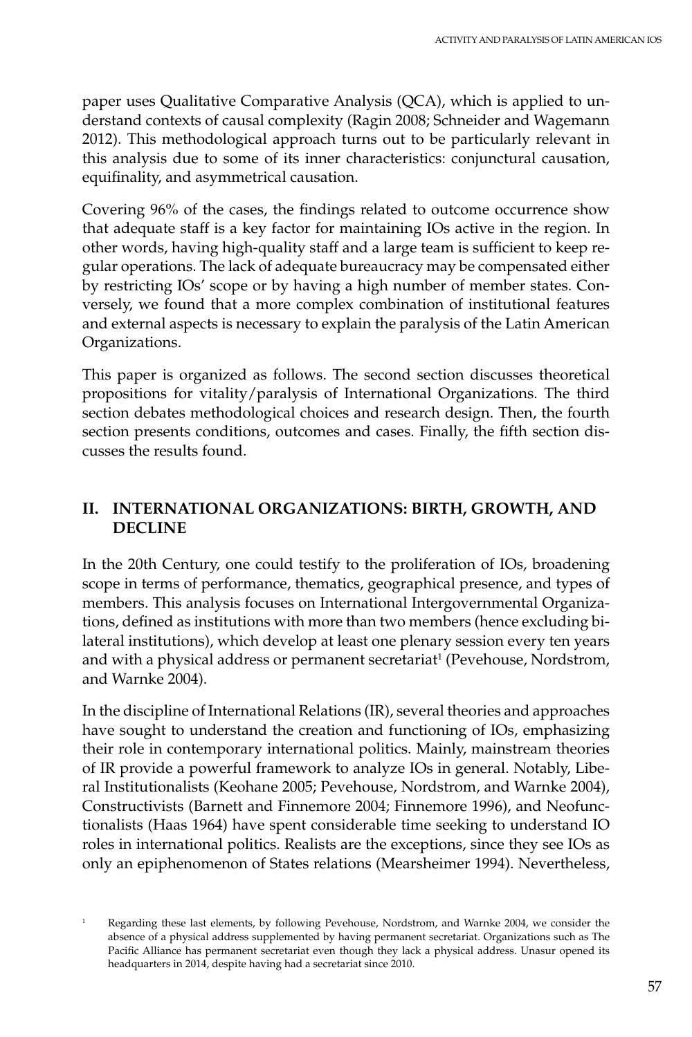paper uses Qualitative Comparative Analysis (QCA), which is applied to understand contexts of causal complexity (Ragin 2008; Schneider and Wagemann 2012). This methodological approach turns out to be particularly relevant in this analysis due to some of its inner characteristics: conjunctural causation, equifinality, and asymmetrical causation.

Covering 96% of the cases, the findings related to outcome occurrence show that adequate staff is a key factor for maintaining IOs active in the region. In other words, having high-quality staff and a large team is sufficient to keep regular operations. The lack of adequate bureaucracy may be compensated either by restricting IOs' scope or by having a high number of member states. Conversely, we found that a more complex combination of institutional features and external aspects is necessary to explain the paralysis of the Latin American Organizations.

This paper is organized as follows. The second section discusses theoretical propositions for vitality/paralysis of International Organizations. The third section debates methodological choices and research design. Then, the fourth section presents conditions, outcomes and cases. Finally, the fifth section discusses the results found.

# **II. INTERNATIONAL ORGANIZATIONS: BIRTH, GROWTH, AND DECLINE**

In the 20th Century, one could testify to the proliferation of IOs, broadening scope in terms of performance, thematics, geographical presence, and types of members. This analysis focuses on International Intergovernmental Organizations, defined as institutions with more than two members (hence excluding bilateral institutions), which develop at least one plenary session every ten years and with a physical address or permanent secretariat<sup>1</sup> (Pevehouse, Nordstrom, and Warnke 2004).

In the discipline of International Relations (IR), several theories and approaches have sought to understand the creation and functioning of IOs, emphasizing their role in contemporary international politics. Mainly, mainstream theories of IR provide a powerful framework to analyze IOs in general. Notably, Liberal Institutionalists (Keohane 2005; Pevehouse, Nordstrom, and Warnke 2004), Constructivists (Barnett and Finnemore 2004; Finnemore 1996), and Neofunctionalists (Haas 1964) have spent considerable time seeking to understand IO roles in international politics. Realists are the exceptions, since they see IOs as only an epiphenomenon of States relations (Mearsheimer 1994). Nevertheless,

<sup>&</sup>lt;sup>1</sup> Regarding these last elements, by following Pevehouse, Nordstrom, and Warnke 2004, we consider the absence of a physical address supplemented by having permanent secretariat. Organizations such as The Pacific Alliance has permanent secretariat even though they lack a physical address. Unasur opened its headquarters in 2014, despite having had a secretariat since 2010.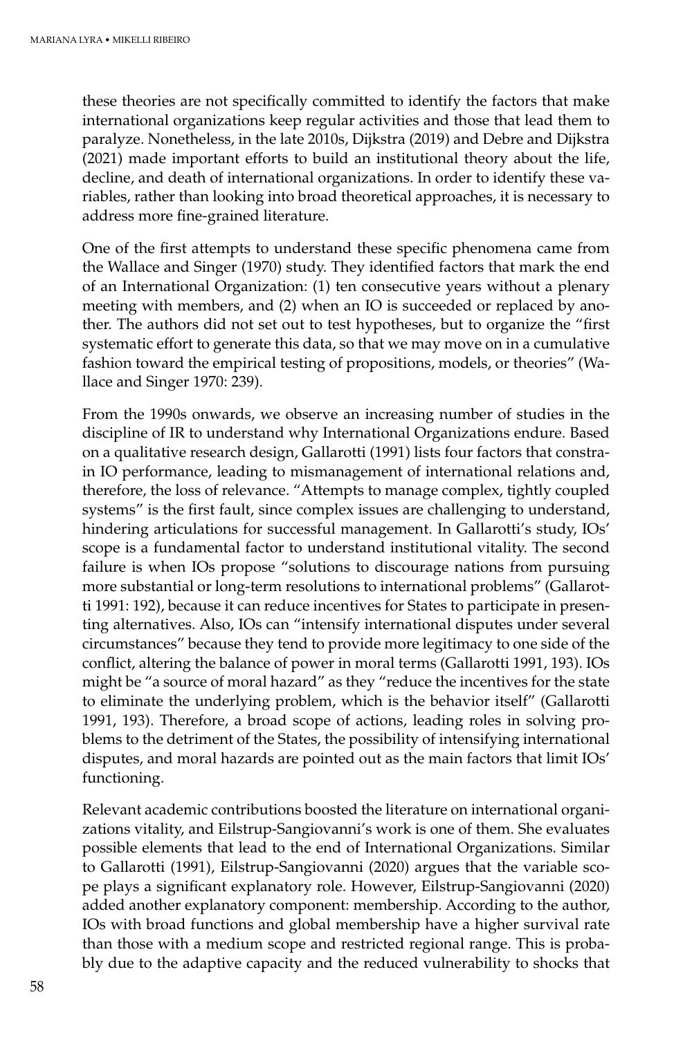these theories are not specifically committed to identify the factors that make international organizations keep regular activities and those that lead them to paralyze. Nonetheless, in the late 2010s, Dijkstra (2019) and Debre and Dijkstra (2021) made important efforts to build an institutional theory about the life, decline, and death of international organizations. In order to identify these variables, rather than looking into broad theoretical approaches, it is necessary to address more fine-grained literature.

One of the first attempts to understand these specific phenomena came from the Wallace and Singer (1970) study. They identified factors that mark the end of an International Organization: (1) ten consecutive years without a plenary meeting with members, and (2) when an IO is succeeded or replaced by another. The authors did not set out to test hypotheses, but to organize the "first systematic effort to generate this data, so that we may move on in a cumulative fashion toward the empirical testing of propositions, models, or theories" (Wallace and Singer 1970: 239).

From the 1990s onwards, we observe an increasing number of studies in the discipline of IR to understand why International Organizations endure. Based on a qualitative research design, Gallarotti (1991) lists four factors that constrain IO performance, leading to mismanagement of international relations and, therefore, the loss of relevance. "Attempts to manage complex, tightly coupled systems" is the first fault, since complex issues are challenging to understand, hindering articulations for successful management. In Gallarotti's study, IOs' scope is a fundamental factor to understand institutional vitality. The second failure is when IOs propose "solutions to discourage nations from pursuing more substantial or long-term resolutions to international problems" (Gallarotti 1991: 192), because it can reduce incentives for States to participate in presenting alternatives. Also, IOs can "intensify international disputes under several circumstances" because they tend to provide more legitimacy to one side of the conflict, altering the balance of power in moral terms (Gallarotti 1991, 193). IOs might be "a source of moral hazard" as they "reduce the incentives for the state to eliminate the underlying problem, which is the behavior itself" (Gallarotti 1991, 193). Therefore, a broad scope of actions, leading roles in solving problems to the detriment of the States, the possibility of intensifying international disputes, and moral hazards are pointed out as the main factors that limit IOs' functioning.

Relevant academic contributions boosted the literature on international organizations vitality, and Eilstrup-Sangiovanni's work is one of them. She evaluates possible elements that lead to the end of International Organizations. Similar to Gallarotti (1991), Eilstrup-Sangiovanni (2020) argues that the variable scope plays a significant explanatory role. However, Eilstrup-Sangiovanni (2020) added another explanatory component: membership. According to the author, IOs with broad functions and global membership have a higher survival rate than those with a medium scope and restricted regional range. This is probably due to the adaptive capacity and the reduced vulnerability to shocks that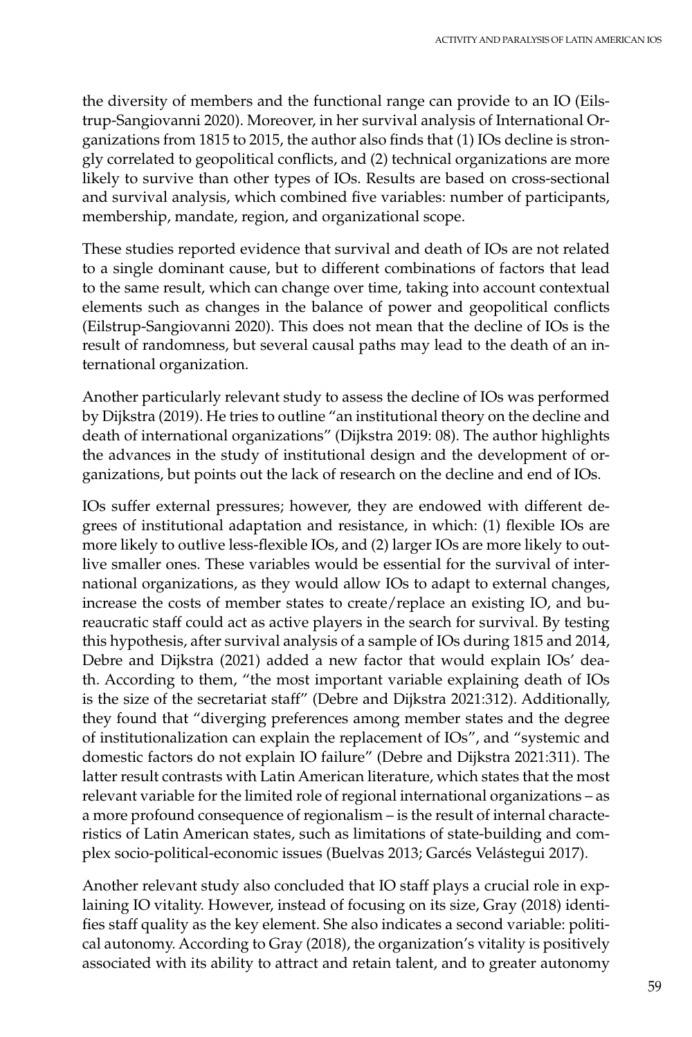the diversity of members and the functional range can provide to an IO (Eilstrup-Sangiovanni 2020). Moreover, in her survival analysis of International Organizations from 1815 to 2015, the author also finds that (1) IOs decline is strongly correlated to geopolitical conflicts, and (2) technical organizations are more likely to survive than other types of IOs. Results are based on cross-sectional and survival analysis, which combined five variables: number of participants, membership, mandate, region, and organizational scope.

These studies reported evidence that survival and death of IOs are not related to a single dominant cause, but to different combinations of factors that lead to the same result, which can change over time, taking into account contextual elements such as changes in the balance of power and geopolitical conflicts (Eilstrup-Sangiovanni 2020). This does not mean that the decline of IOs is the result of randomness, but several causal paths may lead to the death of an international organization.

Another particularly relevant study to assess the decline of IOs was performed by Dijkstra (2019). He tries to outline "an institutional theory on the decline and death of international organizations" (Dijkstra 2019: 08). The author highlights the advances in the study of institutional design and the development of organizations, but points out the lack of research on the decline and end of IOs.

IOs suffer external pressures; however, they are endowed with different degrees of institutional adaptation and resistance, in which: (1) flexible IOs are more likely to outlive less-flexible IOs, and (2) larger IOs are more likely to outlive smaller ones. These variables would be essential for the survival of international organizations, as they would allow IOs to adapt to external changes, increase the costs of member states to create/replace an existing IO, and bureaucratic staff could act as active players in the search for survival. By testing this hypothesis, after survival analysis of a sample of IOs during 1815 and 2014, Debre and Dijkstra (2021) added a new factor that would explain IOs' death. According to them, "the most important variable explaining death of IOs is the size of the secretariat staff" (Debre and Dijkstra 2021:312). Additionally, they found that "diverging preferences among member states and the degree of institutionalization can explain the replacement of IOs", and "systemic and domestic factors do not explain IO failure" (Debre and Dijkstra 2021:311). The latter result contrasts with Latin American literature, which states that the most relevant variable for the limited role of regional international organizations – as a more profound consequence of regionalism – is the result of internal characteristics of Latin American states, such as limitations of state-building and complex socio-political-economic issues (Buelvas 2013; Garcés Velástegui 2017).

Another relevant study also concluded that IO staff plays a crucial role in explaining IO vitality. However, instead of focusing on its size, Gray (2018) identifies staff quality as the key element. She also indicates a second variable: political autonomy. According to Gray (2018), the organization's vitality is positively associated with its ability to attract and retain talent, and to greater autonomy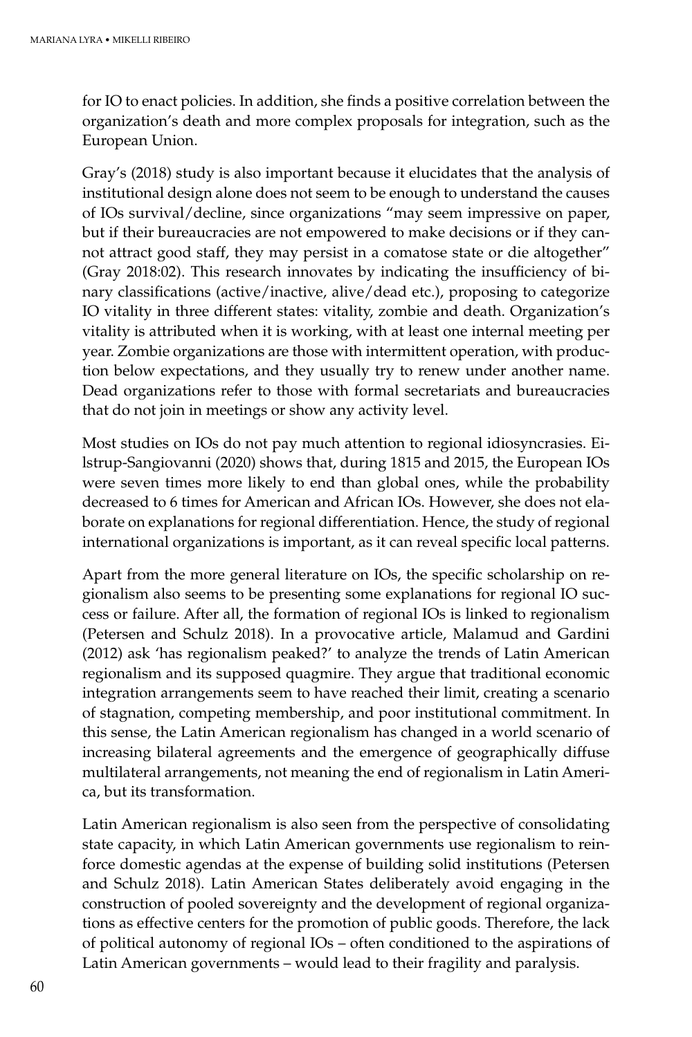for IO to enact policies. In addition, she finds a positive correlation between the organization's death and more complex proposals for integration, such as the European Union.

Gray's (2018) study is also important because it elucidates that the analysis of institutional design alone does not seem to be enough to understand the causes of IOs survival/decline, since organizations "may seem impressive on paper, but if their bureaucracies are not empowered to make decisions or if they cannot attract good staff, they may persist in a comatose state or die altogether" (Gray 2018:02). This research innovates by indicating the insufficiency of binary classifications (active/inactive, alive/dead etc.), proposing to categorize IO vitality in three different states: vitality, zombie and death. Organization's vitality is attributed when it is working, with at least one internal meeting per year. Zombie organizations are those with intermittent operation, with production below expectations, and they usually try to renew under another name. Dead organizations refer to those with formal secretariats and bureaucracies that do not join in meetings or show any activity level.

Most studies on IOs do not pay much attention to regional idiosyncrasies. Eilstrup-Sangiovanni (2020) shows that, during 1815 and 2015, the European IOs were seven times more likely to end than global ones, while the probability decreased to 6 times for American and African IOs. However, she does not elaborate on explanations for regional differentiation. Hence, the study of regional international organizations is important, as it can reveal specific local patterns.

Apart from the more general literature on IOs, the specific scholarship on regionalism also seems to be presenting some explanations for regional IO success or failure. After all, the formation of regional IOs is linked to regionalism (Petersen and Schulz 2018). In a provocative article, Malamud and Gardini (2012) ask 'has regionalism peaked?' to analyze the trends of Latin American regionalism and its supposed quagmire. They argue that traditional economic integration arrangements seem to have reached their limit, creating a scenario of stagnation, competing membership, and poor institutional commitment. In this sense, the Latin American regionalism has changed in a world scenario of increasing bilateral agreements and the emergence of geographically diffuse multilateral arrangements, not meaning the end of regionalism in Latin America, but its transformation.

Latin American regionalism is also seen from the perspective of consolidating state capacity, in which Latin American governments use regionalism to reinforce domestic agendas at the expense of building solid institutions (Petersen and Schulz 2018). Latin American States deliberately avoid engaging in the construction of pooled sovereignty and the development of regional organizations as effective centers for the promotion of public goods. Therefore, the lack of political autonomy of regional IOs – often conditioned to the aspirations of Latin American governments – would lead to their fragility and paralysis.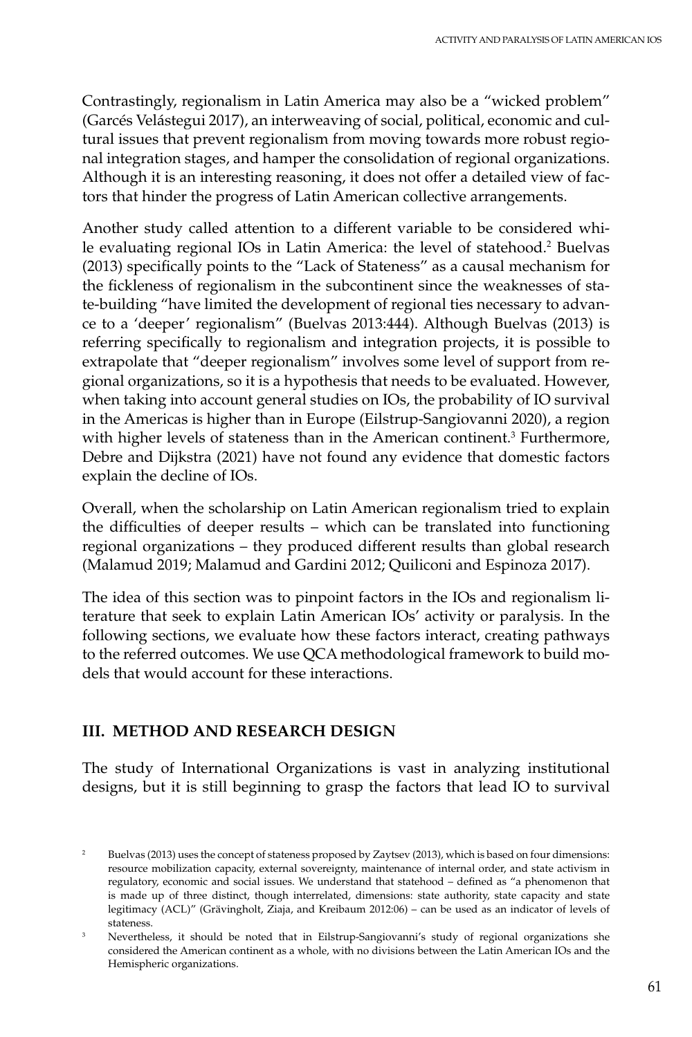Contrastingly, regionalism in Latin America may also be a "wicked problem" (Garcés Velástegui 2017), an interweaving of social, political, economic and cultural issues that prevent regionalism from moving towards more robust regional integration stages, and hamper the consolidation of regional organizations. Although it is an interesting reasoning, it does not offer a detailed view of factors that hinder the progress of Latin American collective arrangements.

Another study called attention to a different variable to be considered while evaluating regional IOs in Latin America: the level of statehood.<sup>2</sup> Buelvas (2013) specifically points to the "Lack of Stateness" as a causal mechanism for the fickleness of regionalism in the subcontinent since the weaknesses of state-building "have limited the development of regional ties necessary to advance to a 'deeper' regionalism" (Buelvas 2013:444). Although Buelvas (2013) is referring specifically to regionalism and integration projects, it is possible to extrapolate that "deeper regionalism" involves some level of support from regional organizations, so it is a hypothesis that needs to be evaluated. However, when taking into account general studies on IOs, the probability of IO survival in the Americas is higher than in Europe (Eilstrup-Sangiovanni 2020), a region with higher levels of stateness than in the American continent.<sup>3</sup> Furthermore, Debre and Dijkstra (2021) have not found any evidence that domestic factors explain the decline of IOs.

Overall, when the scholarship on Latin American regionalism tried to explain the difficulties of deeper results – which can be translated into functioning regional organizations – they produced different results than global research (Malamud 2019; Malamud and Gardini 2012; Quiliconi and Espinoza 2017).

The idea of this section was to pinpoint factors in the IOs and regionalism literature that seek to explain Latin American IOs' activity or paralysis. In the following sections, we evaluate how these factors interact, creating pathways to the referred outcomes. We use QCA methodological framework to build models that would account for these interactions.

# **III. METHOD AND RESEARCH DESIGN**

The study of International Organizations is vast in analyzing institutional designs, but it is still beginning to grasp the factors that lead IO to survival

<sup>&</sup>lt;sup>2</sup> Buelvas (2013) uses the concept of stateness proposed by Zaytsev (2013), which is based on four dimensions: resource mobilization capacity, external sovereignty, maintenance of internal order, and state activism in regulatory, economic and social issues. We understand that statehood – defined as "a phenomenon that is made up of three distinct, though interrelated, dimensions: state authority, state capacity and state legitimacy (ACL)" (Grävingholt, Ziaja, and Kreibaum 2012:06) – can be used as an indicator of levels of stateness.

<sup>&</sup>lt;sup>3</sup> Nevertheless, it should be noted that in Eilstrup-Sangiovanni's study of regional organizations she considered the American continent as a whole, with no divisions between the Latin American IOs and the Hemispheric organizations.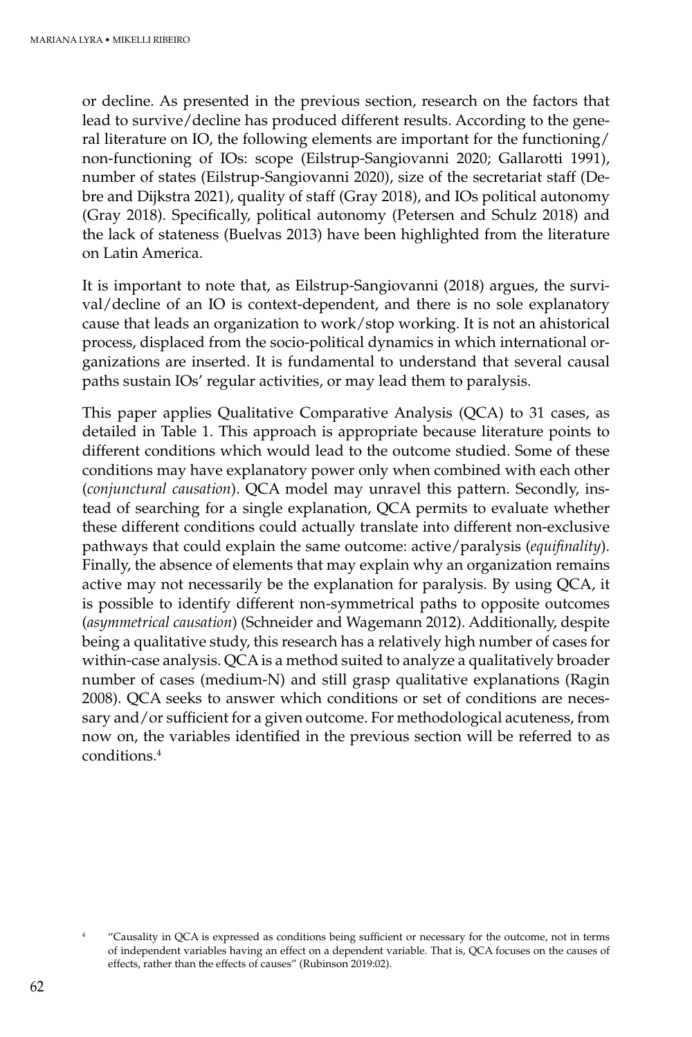or decline. As presented in the previous section, research on the factors that lead to survive/decline has produced different results. According to the general literature on IO, the following elements are important for the functioning/ non-functioning of IOs: scope (Eilstrup-Sangiovanni 2020; Gallarotti 1991), number of states (Eilstrup-Sangiovanni 2020), size of the secretariat staff (Debre and Dijkstra 2021), quality of staff (Gray 2018), and IOs political autonomy (Gray 2018). Specifically, political autonomy (Petersen and Schulz 2018) and the lack of stateness (Buelvas 2013) have been highlighted from the literature on Latin America.

It is important to note that, as Eilstrup-Sangiovanni (2018) argues, the survival/decline of an IO is context-dependent, and there is no sole explanatory cause that leads an organization to work/stop working. It is not an ahistorical process, displaced from the socio-political dynamics in which international organizations are inserted. It is fundamental to understand that several causal paths sustain IOs' regular activities, or may lead them to paralysis.

This paper applies Qualitative Comparative Analysis (QCA) to 31 cases, as detailed in Table 1. This approach is appropriate because literature points to different conditions which would lead to the outcome studied. Some of these conditions may have explanatory power only when combined with each other (*conjunctural causation*). QCA model may unravel this pattern. Secondly, instead of searching for a single explanation, QCA permits to evaluate whether these different conditions could actually translate into different non-exclusive pathways that could explain the same outcome: active/paralysis (*equifinality*). Finally, the absence of elements that may explain why an organization remains active may not necessarily be the explanation for paralysis. By using QCA, it is possible to identify different non-symmetrical paths to opposite outcomes (*asymmetrical causation*) (Schneider and Wagemann 2012). Additionally, despite being a qualitative study, this research has a relatively high number of cases for within-case analysis. QCA is a method suited to analyze a qualitatively broader number of cases (medium-N) and still grasp qualitative explanations (Ragin 2008). QCA seeks to answer which conditions or set of conditions are necessary and/or sufficient for a given outcome. For methodological acuteness, from now on, the variables identified in the previous section will be referred to as conditions.4

<sup>4</sup> "Causality in QCA is expressed as conditions being sufficient or necessary for the outcome, not in terms of independent variables having an effect on a dependent variable. That is, QCA focuses on the causes of effects, rather than the effects of causes" (Rubinson 2019:02).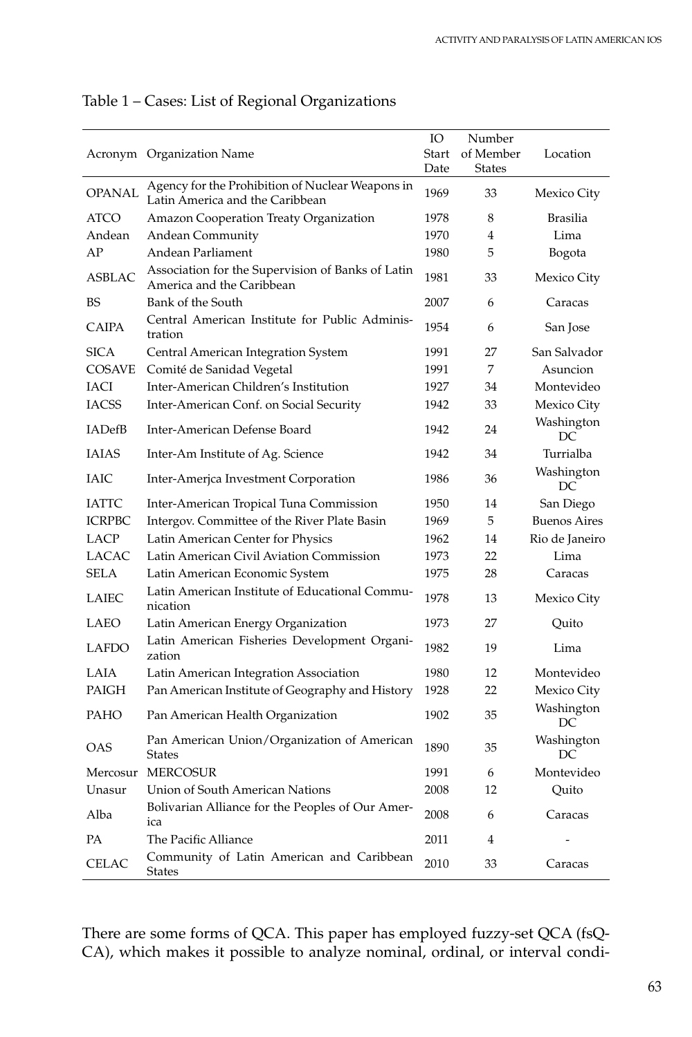|               | Acronym Organization Name                                                           | IO<br>Start<br>Date | Number<br>of Member<br><b>States</b> | Location            |
|---------------|-------------------------------------------------------------------------------------|---------------------|--------------------------------------|---------------------|
| <b>OPANAL</b> | Agency for the Prohibition of Nuclear Weapons in<br>Latin America and the Caribbean | 1969                | 33                                   | Mexico City         |
| <b>ATCO</b>   | Amazon Cooperation Treaty Organization                                              | 1978                | 8                                    | Brasilia            |
| Andean        | Andean Community                                                                    | 1970                | 4                                    | Lima                |
| AP            | Andean Parliament                                                                   | 1980                | 5                                    | Bogota              |
| <b>ASBLAC</b> | Association for the Supervision of Banks of Latin<br>America and the Caribbean      | 1981                | 33                                   | Mexico City         |
| BS            | Bank of the South                                                                   | 2007                | 6                                    | Caracas             |
| <b>CAIPA</b>  | Central American Institute for Public Adminis-<br>tration                           | 1954                | 6                                    | San Jose            |
| <b>SICA</b>   | Central American Integration System                                                 | 1991                | 27                                   | San Salvador        |
| <b>COSAVE</b> | Comité de Sanidad Vegetal                                                           | 1991                | 7                                    | Asuncion            |
| <b>IACI</b>   | Inter-American Children's Institution                                               | 1927                | 34                                   | Montevideo          |
| <b>IACSS</b>  | Inter-American Conf. on Social Security                                             | 1942                | 33                                   | Mexico City         |
| <b>IADefB</b> | Inter-American Defense Board                                                        | 1942                | 24                                   | Washington<br>DC    |
| <b>IAIAS</b>  | Inter-Am Institute of Ag. Science                                                   | 1942                | 34                                   | Turrialba           |
| <b>IAIC</b>   | Inter-America Investment Corporation                                                | 1986                | 36                                   | Washington<br>DC    |
| <b>IATTC</b>  | Inter-American Tropical Tuna Commission                                             | 1950                | 14                                   | San Diego           |
| <b>ICRPBC</b> | Intergov. Committee of the River Plate Basin                                        | 1969                | 5                                    | <b>Buenos Aires</b> |
| LACP          | Latin American Center for Physics                                                   | 1962                | 14                                   | Rio de Janeiro      |
| LACAC         | Latin American Civil Aviation Commission                                            | 1973                | 22                                   | Lima                |
| <b>SELA</b>   | Latin American Economic System                                                      | 1975                | 28                                   | Caracas             |
| <b>LAIEC</b>  | Latin American Institute of Educational Commu-<br>nication                          | 1978                | 13                                   | Mexico City         |
| LAEO          | Latin American Energy Organization                                                  | 1973                | 27                                   | Quito               |
| <b>LAFDO</b>  | Latin American Fisheries Development Organi-<br>zation                              | 1982                | 19                                   | Lima                |
| LAIA          | Latin American Integration Association                                              | 1980                | 12                                   | Montevideo          |
| <b>PAIGH</b>  | Pan American Institute of Geography and History                                     | 1928                | 22                                   | Mexico City         |
| <b>PAHO</b>   | Pan American Health Organization                                                    | 1902                | 35                                   | Washington<br>DC.   |
| <b>OAS</b>    | Pan American Union/Organization of American<br><b>States</b>                        | 1890                | 35                                   | Washington<br>DC.   |
| Mercosur      | <b>MERCOSUR</b>                                                                     | 1991                | 6                                    | Montevideo          |
| Unasur        | Union of South American Nations                                                     | 2008                | 12                                   | Quito               |
| Alba          | Bolivarian Alliance for the Peoples of Our Amer-<br>ica                             | 2008                | 6                                    | Caracas             |
| <b>PA</b>     | The Pacific Alliance                                                                | 2011                | 4                                    |                     |
| <b>CELAC</b>  | Community of Latin American and Caribbean<br><b>States</b>                          | 2010                | 33                                   | Caracas             |

# Table 1 – Cases: List of Regional Organizations

There are some forms of QCA. This paper has employed fuzzy-set QCA (fsQ-CA), which makes it possible to analyze nominal, ordinal, or interval condi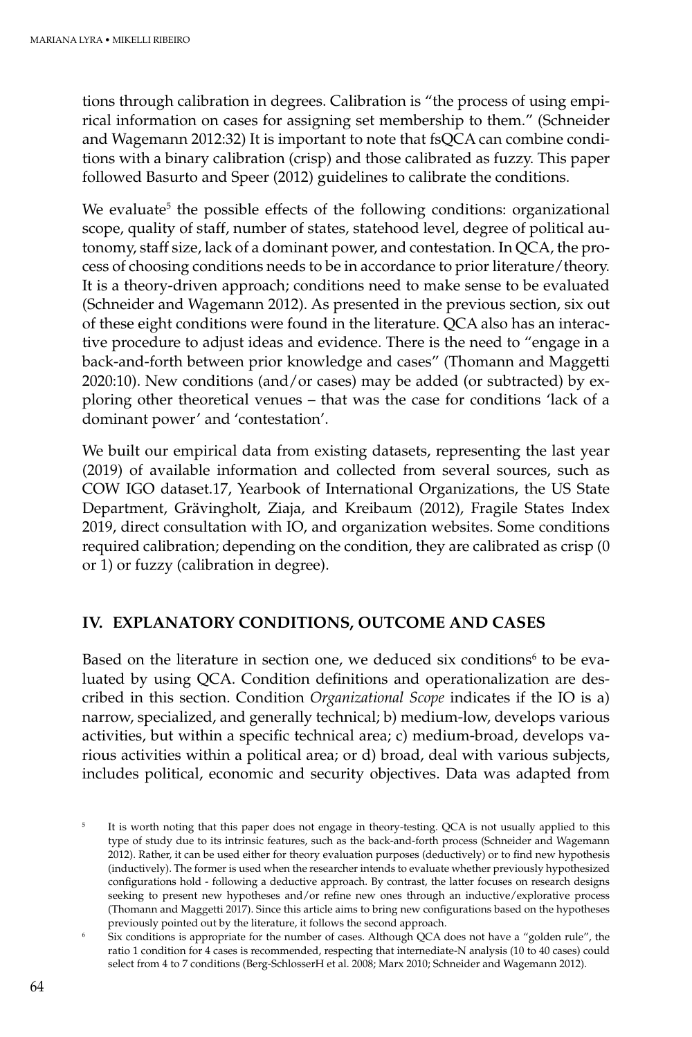tions through calibration in degrees. Calibration is "the process of using empirical information on cases for assigning set membership to them." (Schneider and Wagemann 2012:32) It is important to note that fsQCA can combine conditions with a binary calibration (crisp) and those calibrated as fuzzy. This paper followed Basurto and Speer (2012) guidelines to calibrate the conditions.

We evaluate<sup>5</sup> the possible effects of the following conditions: organizational scope, quality of staff, number of states, statehood level, degree of political autonomy, staff size, lack of a dominant power, and contestation. In QCA, the process of choosing conditions needs to be in accordance to prior literature/theory. It is a theory-driven approach; conditions need to make sense to be evaluated (Schneider and Wagemann 2012). As presented in the previous section, six out of these eight conditions were found in the literature. QCA also has an interactive procedure to adjust ideas and evidence. There is the need to "engage in a back-and-forth between prior knowledge and cases" (Thomann and Maggetti 2020:10). New conditions (and/or cases) may be added (or subtracted) by exploring other theoretical venues – that was the case for conditions 'lack of a dominant power' and 'contestation'.

We built our empirical data from existing datasets, representing the last year (2019) of available information and collected from several sources, such as COW IGO dataset.17, Yearbook of International Organizations, the US State Department, Grävingholt, Ziaja, and Kreibaum (2012), Fragile States Index 2019, direct consultation with IO, and organization websites. Some conditions required calibration; depending on the condition, they are calibrated as crisp (0 or 1) or fuzzy (calibration in degree).

## **IV. EXPLANATORY CONDITIONS, OUTCOME AND CASES**

Based on the literature in section one, we deduced six conditions<sup>6</sup> to be evaluated by using QCA. Condition definitions and operationalization are described in this section. Condition *Organizational Scope* indicates if the IO is a) narrow, specialized, and generally technical; b) medium-low, develops various activities, but within a specific technical area; c) medium-broad, develops various activities within a political area; or d) broad, deal with various subjects, includes political, economic and security objectives. Data was adapted from

It is worth noting that this paper does not engage in theory-testing. QCA is not usually applied to this type of study due to its intrinsic features, such as the back-and-forth process (Schneider and Wagemann 2012). Rather, it can be used either for theory evaluation purposes (deductively) or to find new hypothesis (inductively). The former is used when the researcher intends to evaluate whether previously hypothesized configurations hold - following a deductive approach. By contrast, the latter focuses on research designs seeking to present new hypotheses and/or refine new ones through an inductive/explorative process (Thomann and Maggetti 2017). Since this article aims to bring new configurations based on the hypotheses previously pointed out by the literature, it follows the second approach.

Six conditions is appropriate for the number of cases. Although OCA does not have a "golden rule", the ratio 1 condition for 4 cases is recommended, respecting that internediate-N analysis (10 to 40 cases) could select from 4 to 7 conditions (Berg-SchlosserH et al. 2008; Marx 2010; Schneider and Wagemann 2012).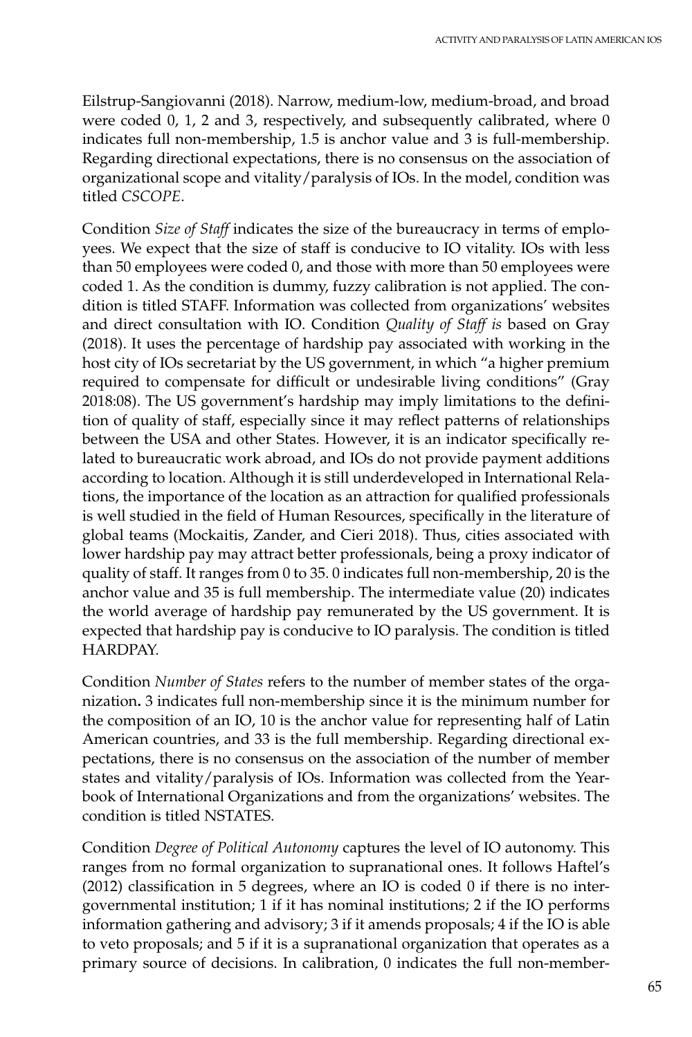Eilstrup-Sangiovanni (2018). Narrow, medium-low, medium-broad, and broad were coded 0, 1, 2 and 3, respectively, and subsequently calibrated, where 0 indicates full non-membership, 1.5 is anchor value and 3 is full-membership. Regarding directional expectations, there is no consensus on the association of organizational scope and vitality/paralysis of IOs. In the model, condition was titled *CSCOPE*.

Condition *Size of Staff* indicates the size of the bureaucracy in terms of employees. We expect that the size of staff is conducive to IO vitality. IOs with less than 50 employees were coded 0, and those with more than 50 employees were coded 1. As the condition is dummy, fuzzy calibration is not applied. The condition is titled STAFF. Information was collected from organizations' websites and direct consultation with IO. Condition *Quality of Staff is* based on Gray (2018). It uses the percentage of hardship pay associated with working in the host city of IOs secretariat by the US government, in which "a higher premium required to compensate for difficult or undesirable living conditions" (Gray 2018:08). The US government's hardship may imply limitations to the definition of quality of staff, especially since it may reflect patterns of relationships between the USA and other States. However, it is an indicator specifically related to bureaucratic work abroad, and IOs do not provide payment additions according to location. Although it is still underdeveloped in International Relations, the importance of the location as an attraction for qualified professionals is well studied in the field of Human Resources, specifically in the literature of global teams (Mockaitis, Zander, and Cieri 2018). Thus, cities associated with lower hardship pay may attract better professionals, being a proxy indicator of quality of staff. It ranges from 0 to 35. 0 indicates full non-membership, 20 is the anchor value and 35 is full membership. The intermediate value (20) indicates the world average of hardship pay remunerated by the US government. It is expected that hardship pay is conducive to IO paralysis. The condition is titled HARDPAY.

Condition *Number of States* refers to the number of member states of the organization**.** 3 indicates full non-membership since it is the minimum number for the composition of an IO, 10 is the anchor value for representing half of Latin American countries, and 33 is the full membership. Regarding directional expectations, there is no consensus on the association of the number of member states and vitality/paralysis of IOs. Information was collected from the Yearbook of International Organizations and from the organizations' websites. The condition is titled NSTATES.

Condition *Degree of Political Autonomy* captures the level of IO autonomy. This ranges from no formal organization to supranational ones. It follows Haftel's (2012) classification in 5 degrees, where an IO is coded 0 if there is no intergovernmental institution; 1 if it has nominal institutions; 2 if the IO performs information gathering and advisory; 3 if it amends proposals; 4 if the IO is able to veto proposals; and 5 if it is a supranational organization that operates as a primary source of decisions. In calibration, 0 indicates the full non-member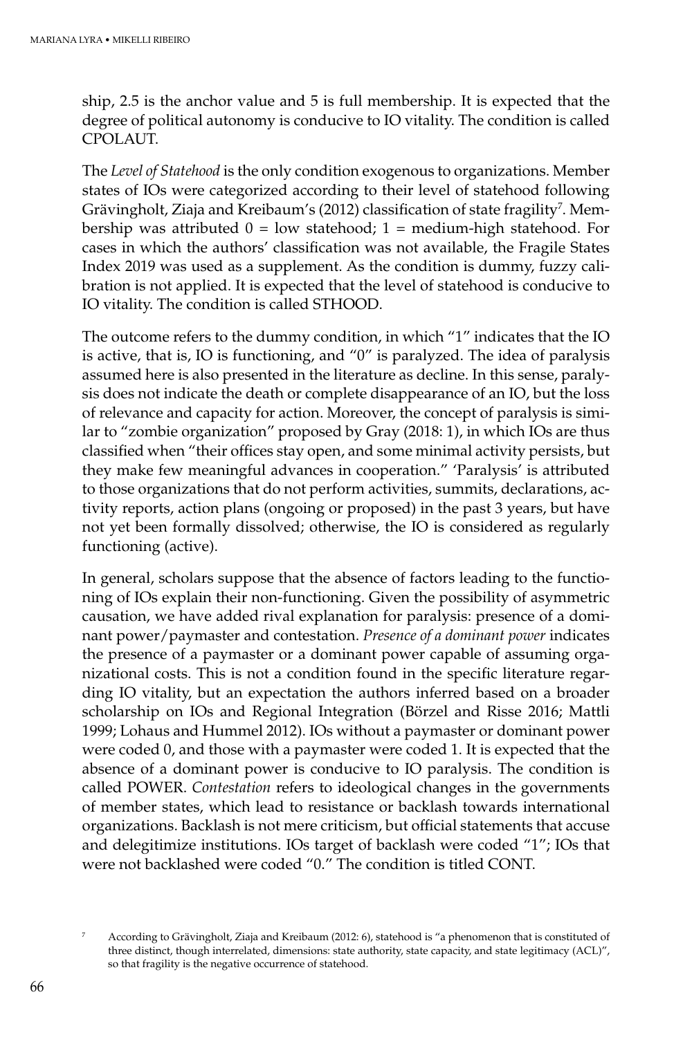ship, 2.5 is the anchor value and 5 is full membership. It is expected that the degree of political autonomy is conducive to IO vitality. The condition is called CPOLAUT.

The *Level of Statehood* is the only condition exogenous to organizations. Member states of IOs were categorized according to their level of statehood following Grävingholt, Ziaja and Kreibaum's (2012) classification of state fragility<sup>7</sup>. Membership was attributed  $0 =$  low statehood;  $1 =$  medium-high statehood. For cases in which the authors' classification was not available, the Fragile States Index 2019 was used as a supplement. As the condition is dummy, fuzzy calibration is not applied. It is expected that the level of statehood is conducive to IO vitality. The condition is called STHOOD.

The outcome refers to the dummy condition, in which "1" indicates that the IO is active, that is, IO is functioning, and "0" is paralyzed. The idea of paralysis assumed here is also presented in the literature as decline. In this sense, paralysis does not indicate the death or complete disappearance of an IO, but the loss of relevance and capacity for action. Moreover, the concept of paralysis is similar to "zombie organization" proposed by Gray (2018: 1), in which IOs are thus classified when "their offices stay open, and some minimal activity persists, but they make few meaningful advances in cooperation." 'Paralysis' is attributed to those organizations that do not perform activities, summits, declarations, activity reports, action plans (ongoing or proposed) in the past 3 years, but have not yet been formally dissolved; otherwise, the IO is considered as regularly functioning (active).

In general, scholars suppose that the absence of factors leading to the functioning of IOs explain their non-functioning. Given the possibility of asymmetric causation, we have added rival explanation for paralysis: presence of a dominant power/paymaster and contestation. *Presence of a dominant power* indicates the presence of a paymaster or a dominant power capable of assuming organizational costs. This is not a condition found in the specific literature regarding IO vitality, but an expectation the authors inferred based on a broader scholarship on IOs and Regional Integration (Börzel and Risse 2016; Mattli 1999; Lohaus and Hummel 2012). IOs without a paymaster or dominant power were coded 0, and those with a paymaster were coded 1. It is expected that the absence of a dominant power is conducive to IO paralysis. The condition is called POWER. *Contestation* refers to ideological changes in the governments of member states, which lead to resistance or backlash towards international organizations. Backlash is not mere criticism, but official statements that accuse and delegitimize institutions. IOs target of backlash were coded "1"; IOs that were not backlashed were coded "0." The condition is titled CONT.

<sup>7</sup> According to Grävingholt, Ziaja and Kreibaum (2012: 6), statehood is "a phenomenon that is constituted of three distinct, though interrelated, dimensions: state authority, state capacity, and state legitimacy (ACL)", so that fragility is the negative occurrence of statehood.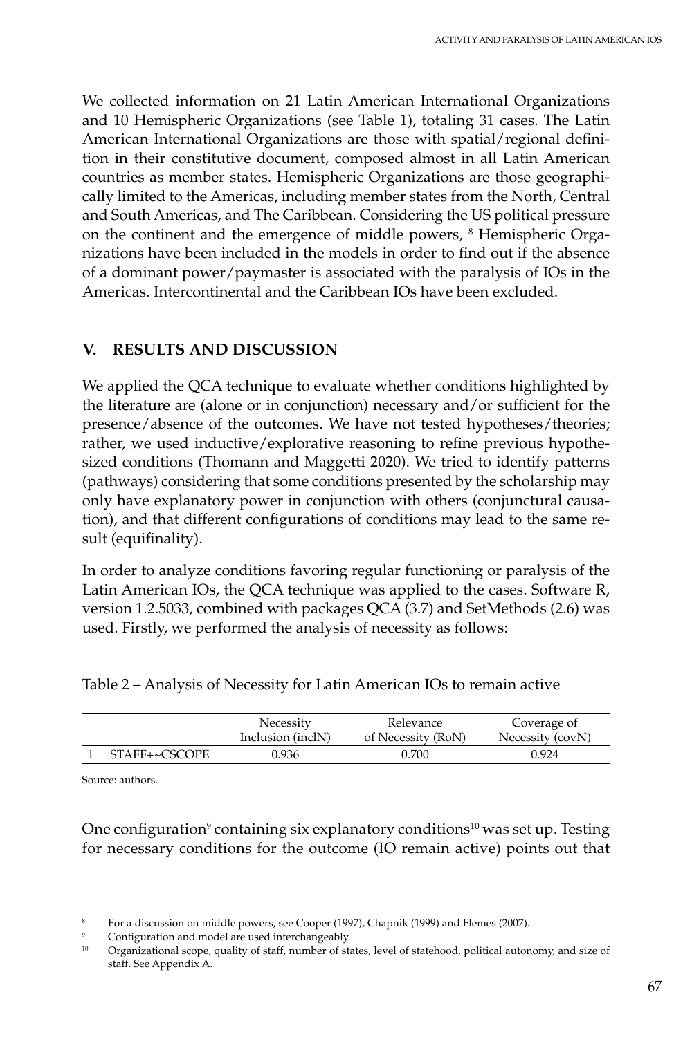We collected information on 21 Latin American International Organizations and 10 Hemispheric Organizations (see Table 1), totaling 31 cases. The Latin American International Organizations are those with spatial/regional definition in their constitutive document, composed almost in all Latin American countries as member states. Hemispheric Organizations are those geographically limited to the Americas, including member states from the North, Central and South Americas, and The Caribbean. Considering the US political pressure on the continent and the emergence of middle powers, <sup>8</sup> Hemispheric Organizations have been included in the models in order to find out if the absence of a dominant power/paymaster is associated with the paralysis of IOs in the Americas. Intercontinental and the Caribbean IOs have been excluded.

# **V. RESULTS AND DISCUSSION**

We applied the QCA technique to evaluate whether conditions highlighted by the literature are (alone or in conjunction) necessary and/or sufficient for the presence/absence of the outcomes. We have not tested hypotheses/theories; rather, we used inductive/explorative reasoning to refine previous hypothesized conditions (Thomann and Maggetti 2020). We tried to identify patterns (pathways) considering that some conditions presented by the scholarship may only have explanatory power in conjunction with others (conjunctural causation), and that different configurations of conditions may lead to the same result (equifinality).

In order to analyze conditions favoring regular functioning or paralysis of the Latin American IOs, the QCA technique was applied to the cases. Software R, version 1.2.5033, combined with packages QCA (3.7) and SetMethods (2.6) was used. Firstly, we performed the analysis of necessity as follows:

|               | Necessity<br>Inclusion (inclN) | Relevance<br>of Necessity (RoN) | Coverage of<br>Necessity (covN) |
|---------------|--------------------------------|---------------------------------|---------------------------------|
| STAFF+~CSCOPE | 0.936                          | 0.700                           | 0.924                           |

Source: authors.

One configuration<sup>9</sup> containing six explanatory conditions<sup>10</sup> was set up. Testing for necessary conditions for the outcome (IO remain active) points out that

<sup>8</sup> For a discussion on middle powers, see Cooper (1997), Chapnik (1999) and Flemes (2007).

 $\frac{9}{2}$  Configuration and model are used interchangeably.

<sup>10</sup> Organizational scope, quality of staff, number of states, level of statehood, political autonomy, and size of staff. See Appendix A.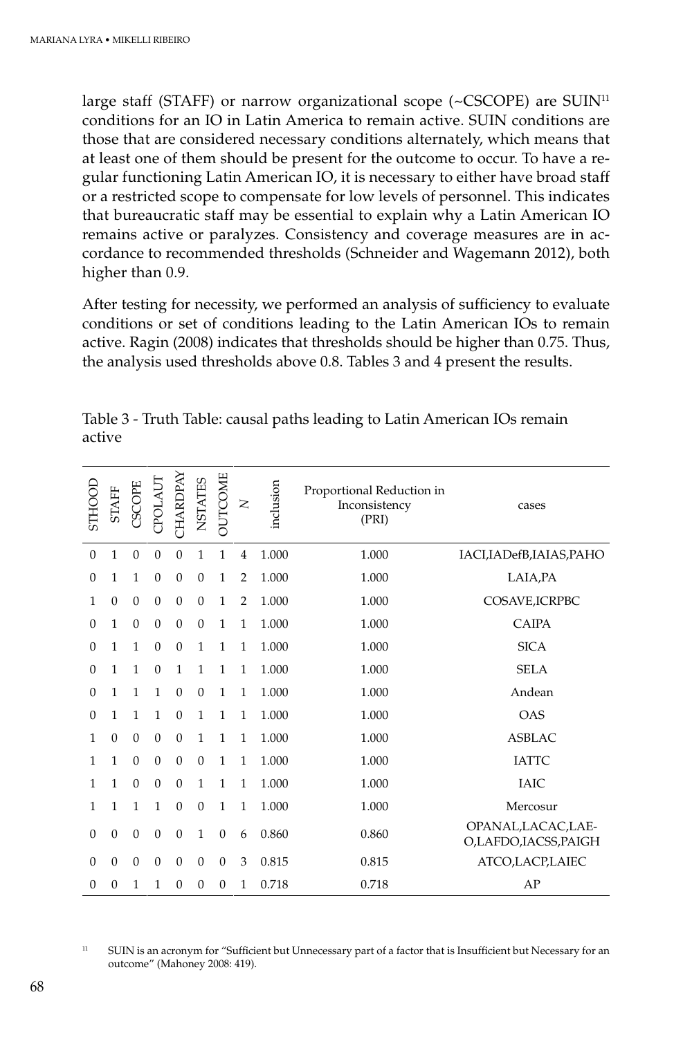large staff (STAFF) or narrow organizational scope ( $\sim$ CSCOPE) are SUIN<sup>11</sup> conditions for an IO in Latin America to remain active. SUIN conditions are those that are considered necessary conditions alternately, which means that at least one of them should be present for the outcome to occur. To have a regular functioning Latin American IO, it is necessary to either have broad staff or a restricted scope to compensate for low levels of personnel. This indicates that bureaucratic staff may be essential to explain why a Latin American IO remains active or paralyzes. Consistency and coverage measures are in accordance to recommended thresholds (Schneider and Wagemann 2012), both higher than 0.9.

After testing for necessity, we performed an analysis of sufficiency to evaluate conditions or set of conditions leading to the Latin American IOs to remain active. Ragin (2008) indicates that thresholds should be higher than 0.75. Thus, the analysis used thresholds above 0.8. Tables 3 and 4 present the results.

| STHOOL         | <b>STAFF</b> | CSCOPE           | CPOLAUT      | CHARDPAY         | NSTATES      | <b>OUTCOME</b> | $\geq$         | inclusion | Proportional Reduction in<br>Inconsistency<br>(PRI) | cases                                      |
|----------------|--------------|------------------|--------------|------------------|--------------|----------------|----------------|-----------|-----------------------------------------------------|--------------------------------------------|
| $\overline{0}$ | $\mathbf{1}$ | $\mathbf{0}$     | $\mathbf{0}$ | $\mathbf{0}$     | $\mathbf{1}$ | $\mathbf{1}$   | 4              | 1.000     | 1.000                                               | IACI, IADefB, IAIAS, PAHO                  |
| $\theta$       | $\mathbf{1}$ | $\mathbf{1}$     | $\theta$     | $\mathbf{0}$     | $\mathbf{0}$ | 1              | $\overline{2}$ | 1.000     | 1.000                                               | LAIA, PA                                   |
| 1              | $\mathbf{0}$ | $\boldsymbol{0}$ | $\mathbf{0}$ | $\boldsymbol{0}$ | $\mathbf{0}$ | $\mathbf{1}$   | $\overline{2}$ | 1.000     | 1.000                                               | COSAVE, ICRPBC                             |
| $\mathbf{0}$   | $\mathbf{1}$ | $\mathbf{0}$     | $\mathbf{0}$ | $\boldsymbol{0}$ | $\theta$     | $\mathbf{1}$   | $\mathbf{1}$   | 1.000     | 1.000                                               | <b>CAIPA</b>                               |
| $\theta$       | $\mathbf{1}$ | $\mathbf{1}$     | $\theta$     | $\mathbf{0}$     | $\mathbf{1}$ | $\mathbf{1}$   | $\mathbf{1}$   | 1.000     | 1.000                                               | <b>SICA</b>                                |
| $\theta$       | $\mathbf{1}$ | $\mathbf{1}$     | $\mathbf{0}$ | $\mathbf{1}$     | $\mathbf{1}$ | $\mathbf{1}$   | $\mathbf{1}$   | 1.000     | 1.000                                               | <b>SELA</b>                                |
| $\theta$       | $\mathbf{1}$ | $\mathbf{1}$     | $\mathbf{1}$ | $\mathbf{0}$     | $\mathbf{0}$ | $\mathbf{1}$   | $\mathbf{1}$   | 1.000     | 1.000                                               | Andean                                     |
| $\theta$       | $\mathbf{1}$ | $\mathbf{1}$     | 1            | $\mathbf{0}$     | $\mathbf{1}$ | 1              | 1              | 1.000     | 1.000                                               | <b>OAS</b>                                 |
| 1              | $\mathbf{0}$ | $\boldsymbol{0}$ | $\mathbf{0}$ | $\boldsymbol{0}$ | $\mathbf{1}$ | 1              | $\mathbf{1}$   | 1.000     | 1.000                                               | <b>ASBLAC</b>                              |
| 1              | 1            | $\mathbf{0}$     | $\mathbf{0}$ | $\mathbf{0}$     | $\theta$     | $\mathbf{1}$   | $\mathbf{1}$   | 1.000     | 1.000                                               | <b>IATTC</b>                               |
| 1              | 1            | $\mathbf{0}$     | $\mathbf{0}$ | $\mathbf{0}$     | $\mathbf{1}$ | $\mathbf{1}$   | $\mathbf{1}$   | 1.000     | 1.000                                               | <b>IAIC</b>                                |
| 1              | 1            | $\mathbf{1}$     | 1            | $\boldsymbol{0}$ | $\mathbf{0}$ | $\mathbf{1}$   | $\mathbf{1}$   | 1.000     | 1.000                                               | Mercosur                                   |
| $\mathbf{0}$   | $\mathbf{0}$ | $\mathbf{0}$     | $\mathbf{0}$ | $\mathbf{0}$     | 1            | $\mathbf{0}$   | 6              | 0.860     | 0.860                                               | OPANAL, LACAC, LAE-<br>O,LAFDO,IACSS,PAIGH |
| $\theta$       | $\mathbf{0}$ | $\mathbf{0}$     | $\mathbf{0}$ | $\boldsymbol{0}$ | $\theta$     | $\theta$       | 3              | 0.815     | 0.815                                               | ATCO,LACP,LAIEC                            |
| $\theta$       | $\mathbf{0}$ | 1                | 1            | $\boldsymbol{0}$ | $\theta$     | $\theta$       | $\mathbf{1}$   | 0.718     | 0.718                                               | AP                                         |

Table 3 - Truth Table: causal paths leading to Latin American IOs remain active

<sup>11</sup> SUIN is an acronym for "Sufficient but Unnecessary part of a factor that is Insufficient but Necessary for an outcome" (Mahoney 2008: 419).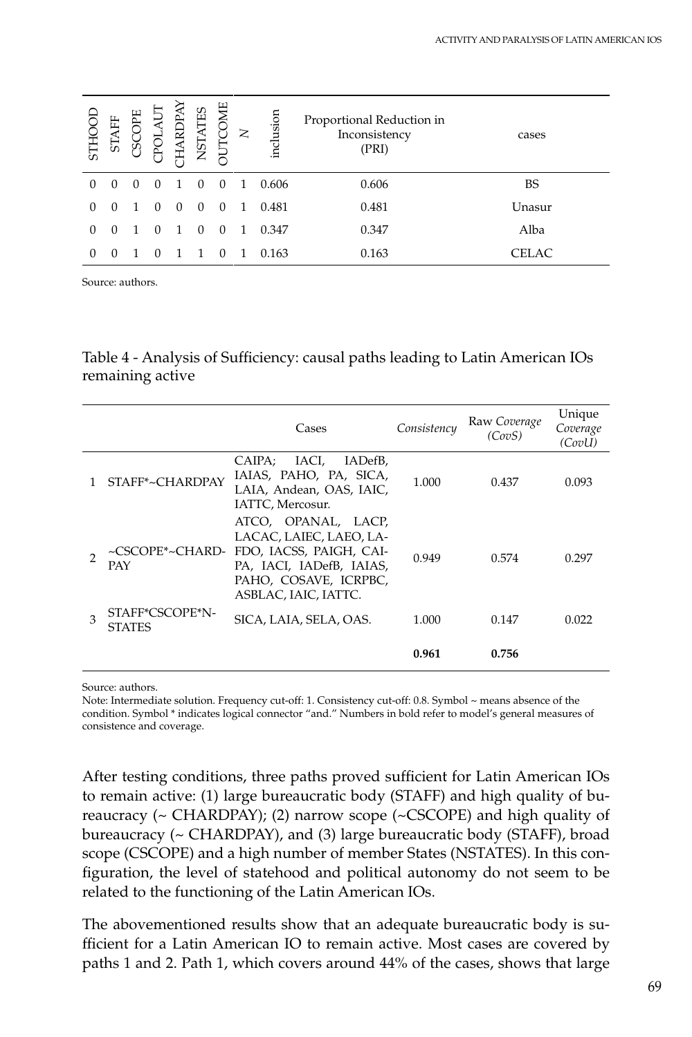| STHO     | ĄFF<br>51 | щ<br>S           | ಗ<br>Ă           | ARD      | TES<br><b>NSTA</b> | JTCOM    | $\mathsf{z}$ | inclusion | Proportional Reduction in<br>Inconsistency<br>(PRI) | cases  |
|----------|-----------|------------------|------------------|----------|--------------------|----------|--------------|-----------|-----------------------------------------------------|--------|
| $\Omega$ | $\Omega$  | $\left( \right)$ | $\Omega$         |          |                    | $\Omega$ | 1.           | 0.606     | 0.606                                               | BS     |
| $\Omega$ | $\Omega$  |                  | $\Omega$         | $\Omega$ | $\Omega$           | $\Omega$ | 1            | 0.481     | 0.481                                               | Unasur |
| 0        | $\Omega$  |                  | $\Omega$         |          | $\Omega$           | $\Omega$ | 1            | 0.347     | 0.347                                               | Alba   |
| 0        |           |                  | $\left( \right)$ |          |                    |          |              | 0.163     | 0.163                                               | CELAC  |

Source: authors.

Table 4 - Analysis of Sufficiency: causal paths leading to Latin American IOs remaining active

|   |                                  | Cases                                                                                                                                                                  | Consistency | Raw Coverage<br>(CovS. | Unique<br>Coverage<br>(CovU) |
|---|----------------------------------|------------------------------------------------------------------------------------------------------------------------------------------------------------------------|-------------|------------------------|------------------------------|
|   | STAFF*~CHARDPAY                  | IACI,<br>CAIPA:<br>IADefB.<br>IAIAS, PAHO, PA, SICA,<br>LAIA, Andean, OAS, IAIC,<br>IATTC, Mercosur.                                                                   | 1.000       | 0.437                  | 0.093                        |
|   | PAY                              | ATCO, OPANAL, LACP,<br>LACAC, LAIEC, LAEO, LA-<br>~CSCOPE*~CHARD- FDO, IACSS, PAIGH, CAI-<br>PA, IACI, IADefB, IAIAS,<br>PAHO, COSAVE, ICRPBC,<br>ASBLAC, IAIC, IATTC. | 0.949       | 0.574                  | 0.297                        |
| 3 | STAFF*CSCOPE*N-<br><b>STATES</b> | SICA, LAIA, SELA, OAS.                                                                                                                                                 | 1.000       | 0.147                  | 0.022                        |
|   |                                  |                                                                                                                                                                        | 0.961       | 0.756                  |                              |

Source: authors.

Note: Intermediate solution. Frequency cut-off: 1. Consistency cut-off: 0.8. Symbol ~ means absence of the condition. Symbol \* indicates logical connector "and." Numbers in bold refer to model's general measures of consistence and coverage.

After testing conditions, three paths proved sufficient for Latin American IOs to remain active: (1) large bureaucratic body (STAFF) and high quality of bureaucracy (~ CHARDPAY); (2) narrow scope (~CSCOPE) and high quality of bureaucracy (~ CHARDPAY), and (3) large bureaucratic body (STAFF), broad scope (CSCOPE) and a high number of member States (NSTATES). In this configuration, the level of statehood and political autonomy do not seem to be related to the functioning of the Latin American IOs.

The abovementioned results show that an adequate bureaucratic body is sufficient for a Latin American IO to remain active. Most cases are covered by paths 1 and 2. Path 1, which covers around 44% of the cases, shows that large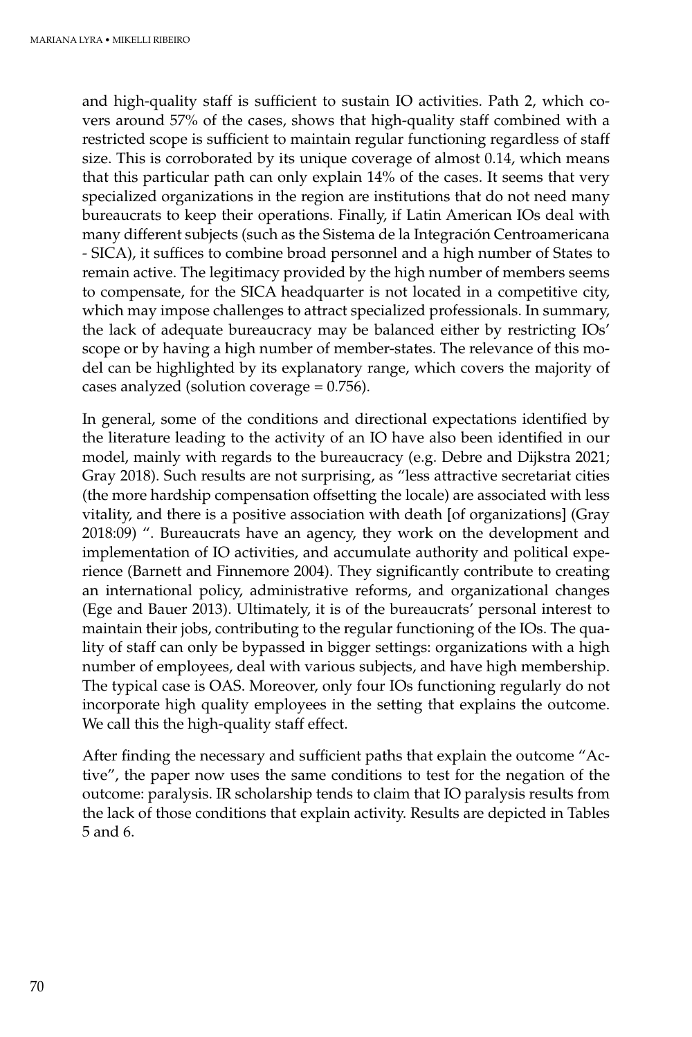and high-quality staff is sufficient to sustain IO activities. Path 2, which covers around 57% of the cases, shows that high-quality staff combined with a restricted scope is sufficient to maintain regular functioning regardless of staff size. This is corroborated by its unique coverage of almost 0.14, which means that this particular path can only explain 14% of the cases. It seems that very specialized organizations in the region are institutions that do not need many bureaucrats to keep their operations. Finally, if Latin American IOs deal with many different subjects (such as the Sistema de la Integración Centroamericana - SICA), it suffices to combine broad personnel and a high number of States to remain active. The legitimacy provided by the high number of members seems to compensate, for the SICA headquarter is not located in a competitive city, which may impose challenges to attract specialized professionals. In summary, the lack of adequate bureaucracy may be balanced either by restricting IOs' scope or by having a high number of member-states. The relevance of this model can be highlighted by its explanatory range, which covers the majority of cases analyzed (solution coverage  $= 0.756$ ).

In general, some of the conditions and directional expectations identified by the literature leading to the activity of an IO have also been identified in our model, mainly with regards to the bureaucracy (e.g. Debre and Dijkstra 2021; Gray 2018). Such results are not surprising, as "less attractive secretariat cities (the more hardship compensation offsetting the locale) are associated with less vitality, and there is a positive association with death [of organizations] (Gray 2018:09) ". Bureaucrats have an agency, they work on the development and implementation of IO activities, and accumulate authority and political experience (Barnett and Finnemore 2004). They significantly contribute to creating an international policy, administrative reforms, and organizational changes (Ege and Bauer 2013). Ultimately, it is of the bureaucrats' personal interest to maintain their jobs, contributing to the regular functioning of the IOs. The quality of staff can only be bypassed in bigger settings: organizations with a high number of employees, deal with various subjects, and have high membership. The typical case is OAS. Moreover, only four IOs functioning regularly do not incorporate high quality employees in the setting that explains the outcome. We call this the high-quality staff effect.

After finding the necessary and sufficient paths that explain the outcome "Active", the paper now uses the same conditions to test for the negation of the outcome: paralysis. IR scholarship tends to claim that IO paralysis results from the lack of those conditions that explain activity. Results are depicted in Tables 5 and 6.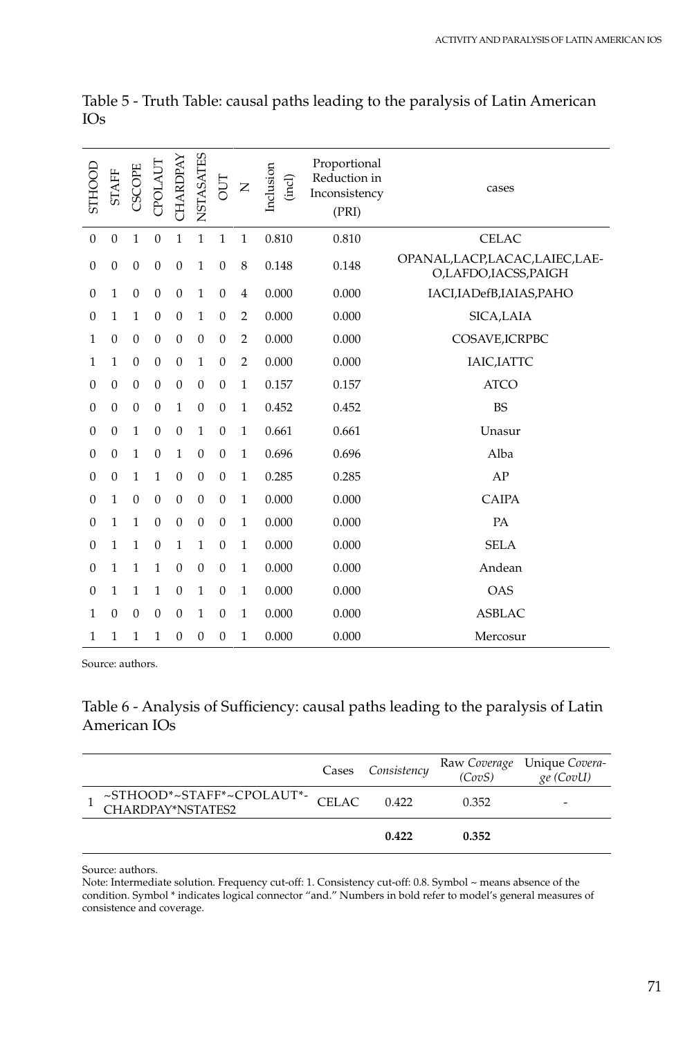| <b>STHOOD</b>    | <b>STAFF</b>     | CSCOPE           | CPOLAUT          | <b>CHARDPAY</b>  | NSTASATES        | JПО              | $\mathsf{Z}$   | Inclusion<br>(incl) | Proportional<br>Reduction in<br>Inconsistency<br>(PRI) | cases                                                   |
|------------------|------------------|------------------|------------------|------------------|------------------|------------------|----------------|---------------------|--------------------------------------------------------|---------------------------------------------------------|
| $\boldsymbol{0}$ | $\mathbf{0}$     | $\mathbf{1}$     | $\mathbf{0}$     | 1                | $\mathbf{1}$     | $\mathbf{1}$     | 1              | 0.810               | 0.810                                                  | <b>CELAC</b>                                            |
| $\mathbf{0}$     | $\mathbf{0}$     | $\boldsymbol{0}$ | $\theta$         | $\mathbf{0}$     | $\mathbf{1}$     | $\theta$         | 8              | 0.148               | 0.148                                                  | OPANAL, LACP, LACAC, LAIEC, LAE-<br>O,LAFDO,IACSS,PAIGH |
| $\Omega$         | 1                | $\mathbf{0}$     | $\mathbf{0}$     | $\mathbf{0}$     | $\mathbf{1}$     | $\mathbf{0}$     | 4              | 0.000               | 0.000                                                  | IACI, IADefB, IAIAS, PAHO                               |
| $\theta$         | $\mathbf{1}$     | $\mathbf{1}$     | $\mathbf{0}$     | $\theta$         | $\mathbf{1}$     | $\mathbf{0}$     | $\overline{2}$ | 0.000               | 0.000                                                  | SICA,LAIA                                               |
| 1                | $\mathbf{0}$     | $\mathbf{0}$     | $\theta$         | $\theta$         | $\mathbf{0}$     | $\mathbf{0}$     | $\overline{2}$ | 0.000               | 0.000                                                  | COSAVE, ICRPBC                                          |
| 1                | 1                | $\mathbf{0}$     | $\boldsymbol{0}$ | $\boldsymbol{0}$ | $\mathbf{1}$     | $\boldsymbol{0}$ | $\overline{2}$ | 0.000               | 0.000                                                  | IAIC, IATTC                                             |
| $\theta$         | $\mathbf{0}$     | $\mathbf{0}$     | $\theta$         | $\mathbf{0}$     | $\mathbf{0}$     | $\mathbf{0}$     | $\mathbf{1}$   | 0.157               | 0.157                                                  | <b>ATCO</b>                                             |
| $\theta$         | $\mathbf{0}$     | $\mathbf{0}$     | $\boldsymbol{0}$ | $\mathbf{1}$     | $\mathbf{0}$     | $\mathbf{0}$     | $\mathbf{1}$   | 0.452               | 0.452                                                  | <b>BS</b>                                               |
| $\mathbf{0}$     | $\boldsymbol{0}$ | $\mathbf{1}$     | $\theta$         | $\boldsymbol{0}$ | $\mathbf{1}$     | $\mathbf{0}$     | $\mathbf{1}$   | 0.661               | 0.661                                                  | Unasur                                                  |
| $\theta$         | $\mathbf{0}$     | $\mathbf{1}$     | $\theta$         | $\mathbf{1}$     | $\mathbf{0}$     | $\mathbf{0}$     | $\mathbf{1}$   | 0.696               | 0.696                                                  | Alba                                                    |
| $\mathbf{0}$     | $\mathbf{0}$     | $\mathbf{1}$     | $\mathbf{1}$     | $\mathbf{0}$     | $\boldsymbol{0}$ | $\boldsymbol{0}$ | $\mathbf{1}$   | 0.285               | 0.285                                                  | AP                                                      |
| $\theta$         | 1                | $\mathbf{0}$     | $\boldsymbol{0}$ | $\boldsymbol{0}$ | $\boldsymbol{0}$ | $\mathbf{0}$     | $\mathbf{1}$   | 0.000               | 0.000                                                  | <b>CAIPA</b>                                            |
| $\theta$         | 1                | $\mathbf{1}$     | $\overline{0}$   | $\boldsymbol{0}$ | $\mathbf{0}$     | $\mathbf{0}$     | $\mathbf{1}$   | 0.000               | 0.000                                                  | PA                                                      |
| $\theta$         | $\mathbf{1}$     | $\mathbf{1}$     | $\theta$         | $\mathbf{1}$     | $\mathbf{1}$     | $\mathbf{0}$     | $\mathbf{1}$   | 0.000               | 0.000                                                  | <b>SELA</b>                                             |
| $\theta$         | 1                | 1                | $\mathbf{1}$     | $\mathbf{0}$     | $\boldsymbol{0}$ | $\mathbf{0}$     | $\mathbf{1}$   | 0.000               | 0.000                                                  | Andean                                                  |
| $\theta$         | 1                | $\mathbf{1}$     | $\mathbf{1}$     | $\mathbf{0}$     | $\mathbf{1}$     | $\mathbf{0}$     | 1              | 0.000               | 0.000                                                  | <b>OAS</b>                                              |
| 1                | $\mathbf{0}$     | $\boldsymbol{0}$ | $\mathbf{0}$     | $\theta$         | $\mathbf{1}$     | $\mathbf{0}$     | $\mathbf{1}$   | 0.000               | 0.000                                                  | <b>ASBLAC</b>                                           |
| 1                | 1                | 1                | $\mathbf{1}$     | $\overline{0}$   | $\boldsymbol{0}$ | $\mathbf{0}$     | $\mathbf{1}$   | 0.000               | 0.000                                                  | Mercosur                                                |

Table 5 - Truth Table: causal paths leading to the paralysis of Latin American IOs

Source: authors.

Table 6 - Analysis of Sufficiency: causal paths leading to the paralysis of Latin American IOs

|                                                                                 | Cases Consistency |       | Raw Coverage Unique Covera-<br>(CovS) ge (CovU) |
|---------------------------------------------------------------------------------|-------------------|-------|-------------------------------------------------|
| $\sim$ STHOOD* $\sim$ STAFF* $\sim$ CPOLAUT*- $\;$ CELAC $\;$ CHARDPAY*NSTATES2 | 0.422             | 0.352 |                                                 |
|                                                                                 | 0.422             | 0.352 |                                                 |

Source: authors.

Note: Intermediate solution. Frequency cut-off: 1. Consistency cut-off: 0.8. Symbol ~ means absence of the condition. Symbol \* indicates logical connector "and." Numbers in bold refer to model's general measures of consistence and coverage.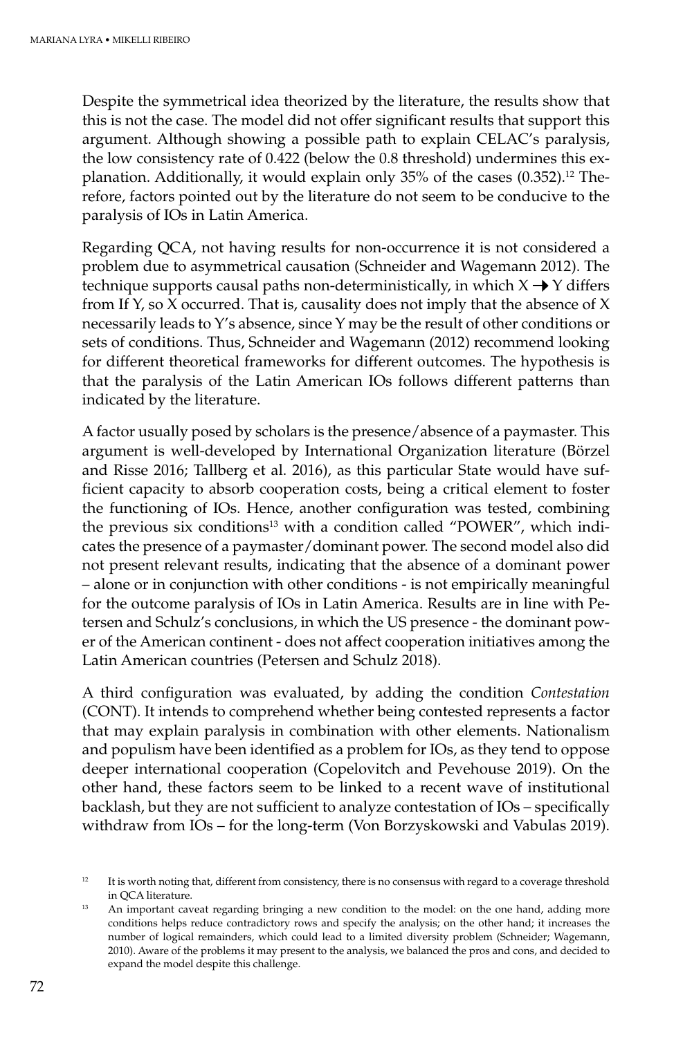Despite the symmetrical idea theorized by the literature, the results show that this is not the case. The model did not offer significant results that support this argument. Although showing a possible path to explain CELAC's paralysis, the low consistency rate of 0.422 (below the 0.8 threshold) undermines this explanation. Additionally, it would explain only  $35%$  of the cases (0.352).<sup>12</sup> Therefore, factors pointed out by the literature do not seem to be conducive to the paralysis of IOs in Latin America.

Regarding QCA, not having results for non-occurrence it is not considered a problem due to asymmetrical causation (Schneider and Wagemann 2012). The technique supports causal paths non-deterministically, in which  $X \rightarrow Y$  differs from If Y, so X occurred. That is, causality does not imply that the absence of X necessarily leads to Y's absence, since Y may be the result of other conditions or sets of conditions. Thus, Schneider and Wagemann (2012) recommend looking for different theoretical frameworks for different outcomes. The hypothesis is that the paralysis of the Latin American IOs follows different patterns than indicated by the literature.

A factor usually posed by scholars is the presence/absence of a paymaster. This argument is well-developed by International Organization literature (Börzel and Risse 2016; Tallberg et al. 2016), as this particular State would have sufficient capacity to absorb cooperation costs, being a critical element to foster the functioning of IOs. Hence, another configuration was tested, combining the previous six conditions<sup>13</sup> with a condition called "POWER", which indicates the presence of a paymaster/dominant power. The second model also did not present relevant results, indicating that the absence of a dominant power – alone or in conjunction with other conditions - is not empirically meaningful for the outcome paralysis of IOs in Latin America. Results are in line with Petersen and Schulz's conclusions, in which the US presence - the dominant power of the American continent - does not affect cooperation initiatives among the Latin American countries (Petersen and Schulz 2018).

A third configuration was evaluated, by adding the condition *Contestation* (CONT). It intends to comprehend whether being contested represents a factor that may explain paralysis in combination with other elements. Nationalism and populism have been identified as a problem for IOs, as they tend to oppose deeper international cooperation (Copelovitch and Pevehouse 2019). On the other hand, these factors seem to be linked to a recent wave of institutional backlash, but they are not sufficient to analyze contestation of IOs – specifically withdraw from IOs – for the long-term (Von Borzyskowski and Vabulas 2019).

 $12$  It is worth noting that, different from consistency, there is no consensus with regard to a coverage threshold in QCA literature.<br><sup>13</sup> An important caveat regarding bringing a new condition to the model: on the one hand, adding more

conditions helps reduce contradictory rows and specify the analysis; on the other hand; it increases the number of logical remainders, which could lead to a limited diversity problem (Schneider; Wagemann, 2010). Aware of the problems it may present to the analysis, we balanced the pros and cons, and decided to expand the model despite this challenge.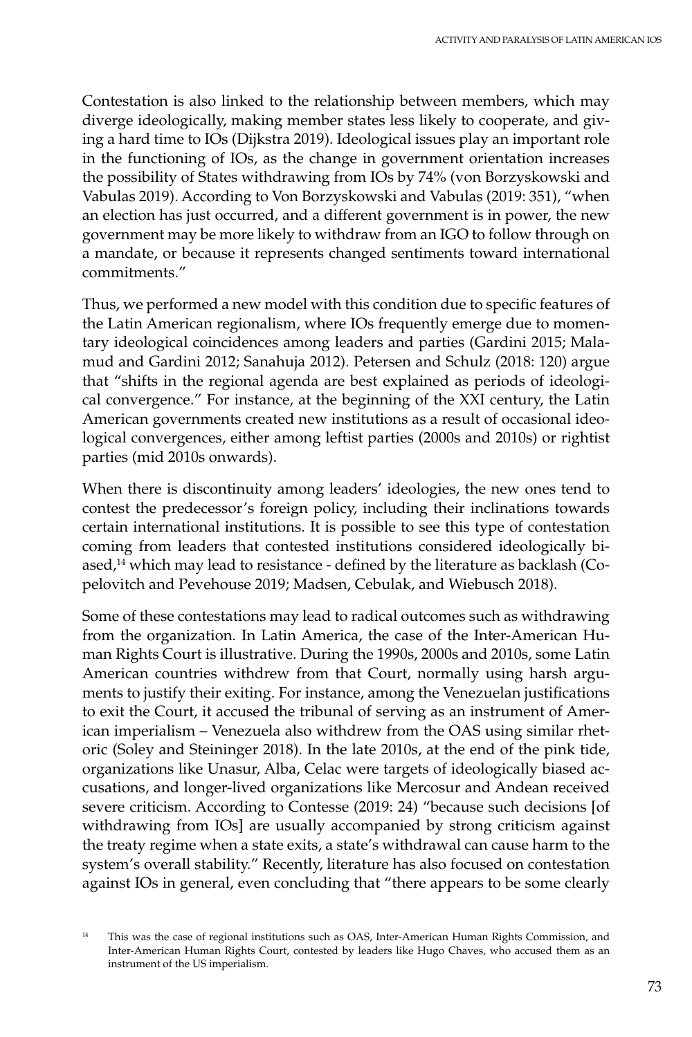Contestation is also linked to the relationship between members, which may diverge ideologically, making member states less likely to cooperate, and giving a hard time to IOs (Dijkstra 2019). Ideological issues play an important role in the functioning of IOs, as the change in government orientation increases the possibility of States withdrawing from IOs by 74% (von Borzyskowski and Vabulas 2019). According to Von Borzyskowski and Vabulas (2019: 351), "when an election has just occurred, and a different government is in power, the new government may be more likely to withdraw from an IGO to follow through on a mandate, or because it represents changed sentiments toward international commitments."

Thus, we performed a new model with this condition due to specific features of the Latin American regionalism, where IOs frequently emerge due to momentary ideological coincidences among leaders and parties (Gardini 2015; Malamud and Gardini 2012; Sanahuja 2012). Petersen and Schulz (2018: 120) argue that "shifts in the regional agenda are best explained as periods of ideological convergence." For instance, at the beginning of the XXI century, the Latin American governments created new institutions as a result of occasional ideological convergences, either among leftist parties (2000s and 2010s) or rightist parties (mid 2010s onwards).

When there is discontinuity among leaders' ideologies, the new ones tend to contest the predecessor's foreign policy, including their inclinations towards certain international institutions. It is possible to see this type of contestation coming from leaders that contested institutions considered ideologically biased,<sup>14</sup> which may lead to resistance - defined by the literature as backlash (Copelovitch and Pevehouse 2019; Madsen, Cebulak, and Wiebusch 2018).

Some of these contestations may lead to radical outcomes such as withdrawing from the organization. In Latin America, the case of the Inter-American Human Rights Court is illustrative. During the 1990s, 2000s and 2010s, some Latin American countries withdrew from that Court, normally using harsh arguments to justify their exiting. For instance, among the Venezuelan justifications to exit the Court, it accused the tribunal of serving as an instrument of American imperialism – Venezuela also withdrew from the OAS using similar rhetoric (Soley and Steininger 2018). In the late 2010s, at the end of the pink tide, organizations like Unasur, Alba, Celac were targets of ideologically biased accusations, and longer-lived organizations like Mercosur and Andean received severe criticism. According to Contesse (2019: 24) "because such decisions [of withdrawing from IOs] are usually accompanied by strong criticism against the treaty regime when a state exits, a state's withdrawal can cause harm to the system's overall stability." Recently, literature has also focused on contestation against IOs in general, even concluding that "there appears to be some clearly

<sup>&</sup>lt;sup>14</sup> This was the case of regional institutions such as OAS, Inter-American Human Rights Commission, and Inter-American Human Rights Court, contested by leaders like Hugo Chaves, who accused them as an instrument of the US imperialism.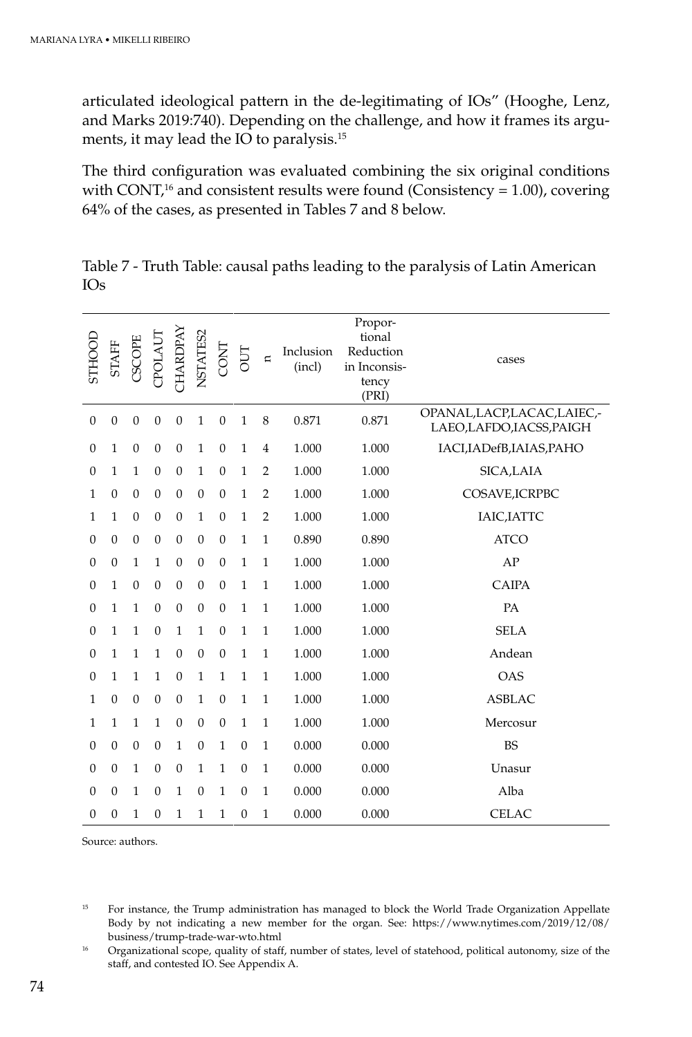articulated ideological pattern in the de-legitimating of IOs" (Hooghe, Lenz, and Marks 2019:740). Depending on the challenge, and how it frames its arguments, it may lead the IO to paralysis.15

The third configuration was evaluated combining the six original conditions with CONT,<sup>16</sup> and consistent results were found (Consistency = 1.00), covering 64% of the cases, as presented in Tables 7 and 8 below.

| STHOOL       | <b>STAFF</b>     | <b>EGOSC</b>     | TPOLAUT          | CHARDPAY         | NSTATES2         | <b>CONT</b>      | OUT              | $\overline{a}$ | Inclusion<br>(incl) | Propor-<br>tional<br>Reduction<br>in Inconsis-<br>tency<br>(PRI) | cases                                                  |
|--------------|------------------|------------------|------------------|------------------|------------------|------------------|------------------|----------------|---------------------|------------------------------------------------------------------|--------------------------------------------------------|
| $\mathbf{0}$ | $\boldsymbol{0}$ | $\boldsymbol{0}$ | $\boldsymbol{0}$ | $\boldsymbol{0}$ | $\mathbf{1}$     | $\boldsymbol{0}$ | $\mathbf{1}$     | 8              | 0.871               | 0.871                                                            | OPANAL, LACP, LACAC, LAIEC,-<br>LAEO,LAFDO,IACSS,PAIGH |
| $\theta$     | $\mathbf{1}$     | $\mathbf{0}$     | $\boldsymbol{0}$ | $\mathbf{0}$     | $\mathbf{1}$     | $\mathbf{0}$     | $\mathbf{1}$     | $\overline{4}$ | 1.000               | 1.000                                                            | IACI, IADefB, IAIAS, PAHO                              |
| $\Omega$     | 1                | $\mathbf{1}$     | $\theta$         | $\boldsymbol{0}$ | $\mathbf{1}$     | $\mathbf{0}$     | $\mathbf{1}$     | $\overline{2}$ | 1.000               | 1.000                                                            | SICA,LAIA                                              |
| 1            | $\mathbf{0}$     | $\boldsymbol{0}$ | $\boldsymbol{0}$ | $\mathbf{0}$     | $\mathbf{0}$     | $\boldsymbol{0}$ | $\mathbf{1}$     | $\overline{2}$ | 1.000               | 1.000                                                            | COSAVE, ICRPBC                                         |
| 1            | $\mathbf{1}$     | $\boldsymbol{0}$ | $\boldsymbol{0}$ | $\mathbf{0}$     | $\mathbf{1}$     | $\boldsymbol{0}$ | $\mathbf{1}$     | $\overline{2}$ | 1.000               | 1.000                                                            | IAIC, IATTC                                            |
| $\Omega$     | $\mathbf{0}$     | $\boldsymbol{0}$ | $\theta$         | $\boldsymbol{0}$ | $\mathbf{0}$     | $\mathbf{0}$     | $\mathbf{1}$     | $\mathbf{1}$   | 0.890               | 0.890                                                            | <b>ATCO</b>                                            |
| $\theta$     | $\boldsymbol{0}$ | $\mathbf{1}$     | $\mathbf{1}$     | $\boldsymbol{0}$ | $\boldsymbol{0}$ | $\boldsymbol{0}$ | $\mathbf{1}$     | $\mathbf{1}$   | 1.000               | 1.000                                                            | AP                                                     |
| $\Omega$     | 1                | $\boldsymbol{0}$ | $\boldsymbol{0}$ | $\mathbf{0}$     | $\boldsymbol{0}$ | $\boldsymbol{0}$ | $\mathbf{1}$     | $\mathbf{1}$   | 1.000               | 1.000                                                            | CAIPA                                                  |
| $\theta$     | $\mathbf{1}$     | $\mathbf{1}$     | $\mathbf{0}$     | $\mathbf{0}$     | $\mathbf{0}$     | $\mathbf{0}$     | $\mathbf{1}$     | $\mathbf{1}$   | 1.000               | 1.000                                                            | PA                                                     |
| $\theta$     | 1                | $\mathbf{1}$     | $\theta$         | $\mathbf{1}$     | $\mathbf{1}$     | $\boldsymbol{0}$ | $\mathbf{1}$     | $\mathbf{1}$   | 1.000               | 1.000                                                            | <b>SELA</b>                                            |
| $\mathbf{0}$ | 1                | $\mathbf{1}$     | $\mathbf{1}$     | $\mathbf{0}$     | $\boldsymbol{0}$ | $\boldsymbol{0}$ | $\mathbf{1}$     | $\mathbf{1}$   | 1.000               | 1.000                                                            | Andean                                                 |
| $\theta$     | $\mathbf{1}$     | $\mathbf{1}$     | $\mathbf{1}$     | $\boldsymbol{0}$ | $\mathbf{1}$     | $\mathbf{1}$     | $\mathbf{1}$     | $\mathbf{1}$   | 1.000               | 1.000                                                            | OAS                                                    |
| 1            | $\Omega$         | $\mathbf{0}$     | $\theta$         | $\boldsymbol{0}$ | $\mathbf{1}$     | $\boldsymbol{0}$ | $\mathbf{1}$     | $\mathbf{1}$   | 1.000               | 1.000                                                            | <b>ASBLAC</b>                                          |
| 1            | $\mathbf{1}$     | $\mathbf{1}$     | $\mathbf{1}$     | $\boldsymbol{0}$ | $\boldsymbol{0}$ | $\boldsymbol{0}$ | $\mathbf{1}$     | $\mathbf{1}$   | 1.000               | 1.000                                                            | Mercosur                                               |
| $\Omega$     | $\mathbf{0}$     | $\boldsymbol{0}$ | $\boldsymbol{0}$ | $\mathbf{1}$     | $\boldsymbol{0}$ | $\mathbf{1}$     | $\boldsymbol{0}$ | $\mathbf{1}$   | 0.000               | 0.000                                                            | <b>BS</b>                                              |
| $\theta$     | $\mathbf{0}$     | $\mathbf{1}$     | $\theta$         | $\theta$         | $\mathbf{1}$     | $\mathbf{1}$     | $\mathbf{0}$     | $\mathbf{1}$   | 0.000               | 0.000                                                            | Unasur                                                 |
| $\Omega$     | $\mathbf{0}$     | 1                | $\boldsymbol{0}$ | $\mathbf{1}$     | $\mathbf{0}$     | 1                | $\boldsymbol{0}$ | $\mathbf{1}$   | 0.000               | 0.000                                                            | Alba                                                   |
| $\theta$     | $\boldsymbol{0}$ | 1                | $\boldsymbol{0}$ | 1                | 1                | 1                | $\boldsymbol{0}$ | $\mathbf{1}$   | 0.000               | 0.000                                                            | <b>CELAC</b>                                           |

Table 7 - Truth Table: causal paths leading to the paralysis of Latin American IOs

Source: authors.

<sup>15</sup> For instance, the Trump administration has managed to block the World Trade Organization Appellate Body by not indicating a new member for the organ. See: https://www.nytimes.com/2019/12/08/ business/trump-trade-war-wto.html

<sup>16</sup> Organizational scope, quality of staff, number of states, level of statehood, political autonomy, size of the staff, and contested IO. See Appendix A.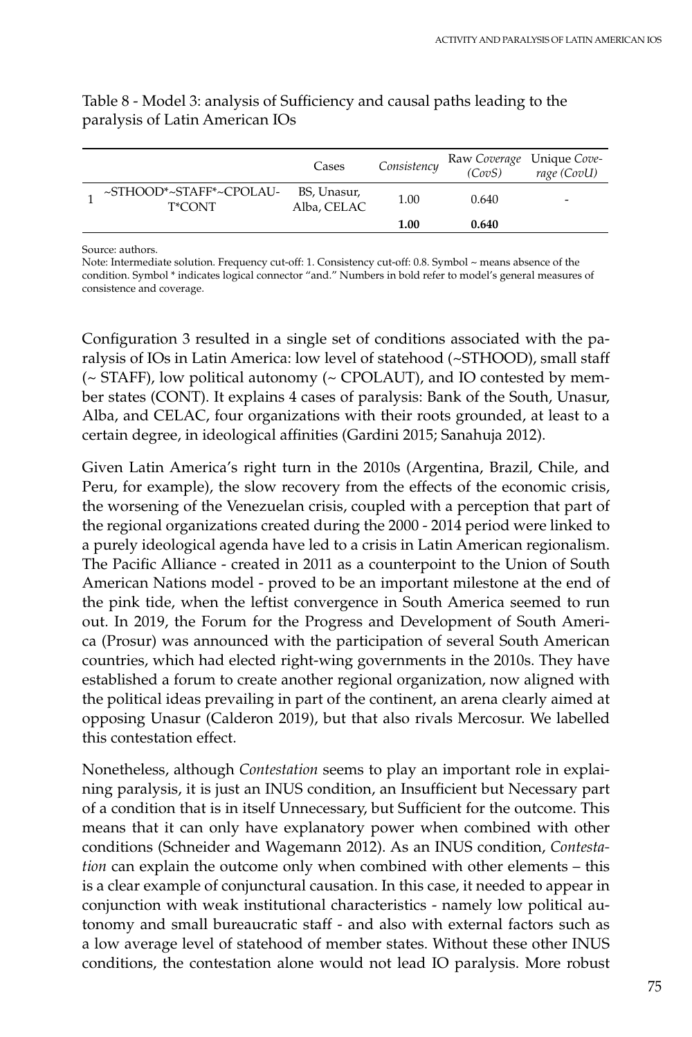|                                   | Cases                      | Consistency | Raw Coverage Unique Cove-<br>(CovS) | rage (CovU) |
|-----------------------------------|----------------------------|-------------|-------------------------------------|-------------|
| ~STHOOD*~STAFF*~CPOLAU-<br>T*CONT | BS, Unasur,<br>Alba, CELAC | 1.00        | 0.640                               | -           |
|                                   |                            | 1.00        | 0.640                               |             |

# Table 8 - Model 3: analysis of Sufficiency and causal paths leading to the paralysis of Latin American IOs

Source: authors.

Note: Intermediate solution. Frequency cut-off: 1. Consistency cut-off: 0.8. Symbol ~ means absence of the condition. Symbol \* indicates logical connector "and." Numbers in bold refer to model's general measures of consistence and coverage.

Configuration 3 resulted in a single set of conditions associated with the paralysis of IOs in Latin America: low level of statehood (~STHOOD), small staff (~ STAFF), low political autonomy (~ CPOLAUT), and IO contested by member states (CONT). It explains 4 cases of paralysis: Bank of the South, Unasur, Alba, and CELAC, four organizations with their roots grounded, at least to a certain degree, in ideological affinities (Gardini 2015; Sanahuja 2012).

Given Latin America's right turn in the 2010s (Argentina, Brazil, Chile, and Peru, for example), the slow recovery from the effects of the economic crisis, the worsening of the Venezuelan crisis, coupled with a perception that part of the regional organizations created during the 2000 - 2014 period were linked to a purely ideological agenda have led to a crisis in Latin American regionalism. The Pacific Alliance - created in 2011 as a counterpoint to the Union of South American Nations model - proved to be an important milestone at the end of the pink tide, when the leftist convergence in South America seemed to run out. In 2019, the Forum for the Progress and Development of South America (Prosur) was announced with the participation of several South American countries, which had elected right-wing governments in the 2010s. They have established a forum to create another regional organization, now aligned with the political ideas prevailing in part of the continent, an arena clearly aimed at opposing Unasur (Calderon 2019), but that also rivals Mercosur. We labelled this contestation effect.

Nonetheless, although *Contestation* seems to play an important role in explaining paralysis, it is just an INUS condition, an Insufficient but Necessary part of a condition that is in itself Unnecessary, but Sufficient for the outcome. This means that it can only have explanatory power when combined with other conditions (Schneider and Wagemann 2012). As an INUS condition, *Contestation* can explain the outcome only when combined with other elements – this is a clear example of conjunctural causation. In this case, it needed to appear in conjunction with weak institutional characteristics - namely low political autonomy and small bureaucratic staff - and also with external factors such as a low average level of statehood of member states. Without these other INUS conditions, the contestation alone would not lead IO paralysis. More robust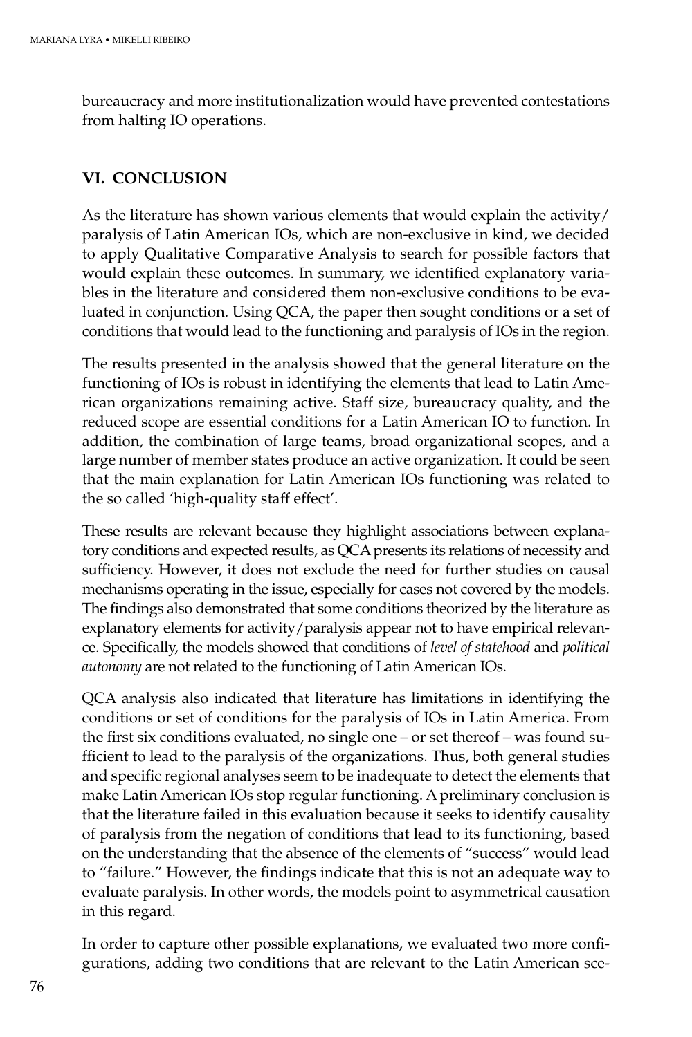bureaucracy and more institutionalization would have prevented contestations from halting IO operations.

# **VI. CONCLUSION**

As the literature has shown various elements that would explain the activity/ paralysis of Latin American IOs, which are non-exclusive in kind, we decided to apply Qualitative Comparative Analysis to search for possible factors that would explain these outcomes. In summary, we identified explanatory variables in the literature and considered them non-exclusive conditions to be evaluated in conjunction. Using QCA, the paper then sought conditions or a set of conditions that would lead to the functioning and paralysis of IOs in the region.

The results presented in the analysis showed that the general literature on the functioning of IOs is robust in identifying the elements that lead to Latin American organizations remaining active. Staff size, bureaucracy quality, and the reduced scope are essential conditions for a Latin American IO to function. In addition, the combination of large teams, broad organizational scopes, and a large number of member states produce an active organization. It could be seen that the main explanation for Latin American IOs functioning was related to the so called 'high-quality staff effect'.

These results are relevant because they highlight associations between explanatory conditions and expected results, as QCA presents its relations of necessity and sufficiency. However, it does not exclude the need for further studies on causal mechanisms operating in the issue, especially for cases not covered by the models. The findings also demonstrated that some conditions theorized by the literature as explanatory elements for activity/paralysis appear not to have empirical relevance. Specifically, the models showed that conditions of *level of statehood* and *political autonomy* are not related to the functioning of Latin American IOs.

QCA analysis also indicated that literature has limitations in identifying the conditions or set of conditions for the paralysis of IOs in Latin America. From the first six conditions evaluated, no single one – or set thereof – was found sufficient to lead to the paralysis of the organizations. Thus, both general studies and specific regional analyses seem to be inadequate to detect the elements that make Latin American IOs stop regular functioning. A preliminary conclusion is that the literature failed in this evaluation because it seeks to identify causality of paralysis from the negation of conditions that lead to its functioning, based on the understanding that the absence of the elements of "success" would lead to "failure." However, the findings indicate that this is not an adequate way to evaluate paralysis. In other words, the models point to asymmetrical causation in this regard.

In order to capture other possible explanations, we evaluated two more configurations, adding two conditions that are relevant to the Latin American sce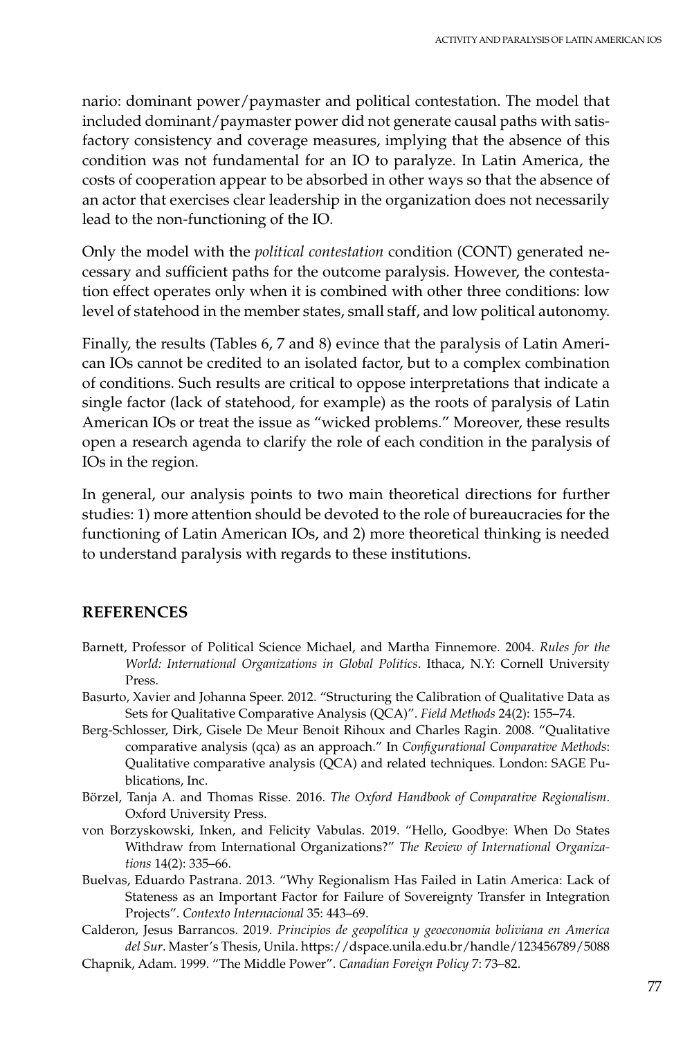nario: dominant power/paymaster and political contestation. The model that included dominant/paymaster power did not generate causal paths with satisfactory consistency and coverage measures, implying that the absence of this condition was not fundamental for an IO to paralyze. In Latin America, the costs of cooperation appear to be absorbed in other ways so that the absence of an actor that exercises clear leadership in the organization does not necessarily lead to the non-functioning of the IO.

Only the model with the *political contestation* condition (CONT) generated necessary and sufficient paths for the outcome paralysis. However, the contestation effect operates only when it is combined with other three conditions: low level of statehood in the member states, small staff, and low political autonomy.

Finally, the results (Tables 6, 7 and 8) evince that the paralysis of Latin American IOs cannot be credited to an isolated factor, but to a complex combination of conditions. Such results are critical to oppose interpretations that indicate a single factor (lack of statehood, for example) as the roots of paralysis of Latin American IOs or treat the issue as "wicked problems." Moreover, these results open a research agenda to clarify the role of each condition in the paralysis of IOs in the region.

In general, our analysis points to two main theoretical directions for further studies: 1) more attention should be devoted to the role of bureaucracies for the functioning of Latin American IOs, and 2) more theoretical thinking is needed to understand paralysis with regards to these institutions.

# **REFERENCES**

- Barnett, Professor of Political Science Michael, and Martha Finnemore. 2004. *Rules for the World: International Organizations in Global Politics*. Ithaca, N.Y: Cornell University Press.
- Basurto, Xavier and Johanna Speer. 2012. "Structuring the Calibration of Qualitative Data as Sets for Qualitative Comparative Analysis (QCA)". *Field Methods* 24(2): 155–74.
- Berg-Schlosser, Dirk, Gisele De Meur Benoit Rihoux and Charles Ragin. 2008. "Qualitative comparative analysis (qca) as an approach." In *Configurational Comparative Methods*: Qualitative comparative analysis (QCA) and related techniques. London: SAGE Publications, Inc.
- Börzel, Tanja A. and Thomas Risse. 2016. *The Oxford Handbook of Comparative Regionalism*. Oxford University Press.
- von Borzyskowski, Inken, and Felicity Vabulas. 2019. "Hello, Goodbye: When Do States Withdraw from International Organizations?" *The Review of International Organizations* 14(2): 335–66.
- Buelvas, Eduardo Pastrana. 2013. "Why Regionalism Has Failed in Latin America: Lack of Stateness as an Important Factor for Failure of Sovereignty Transfer in Integration Projects". *Contexto Internacional* 35: 443–69.
- Calderon, Jesus Barrancos. 2019. *Principios de geopolítica y geoeconomia boliviana en America del Sur*. Master's Thesis, Unila. https://dspace.unila.edu.br/handle/123456789/5088 Chapnik, Adam. 1999. "The Middle Power". *Canadian Foreign Policy* 7: 73–82.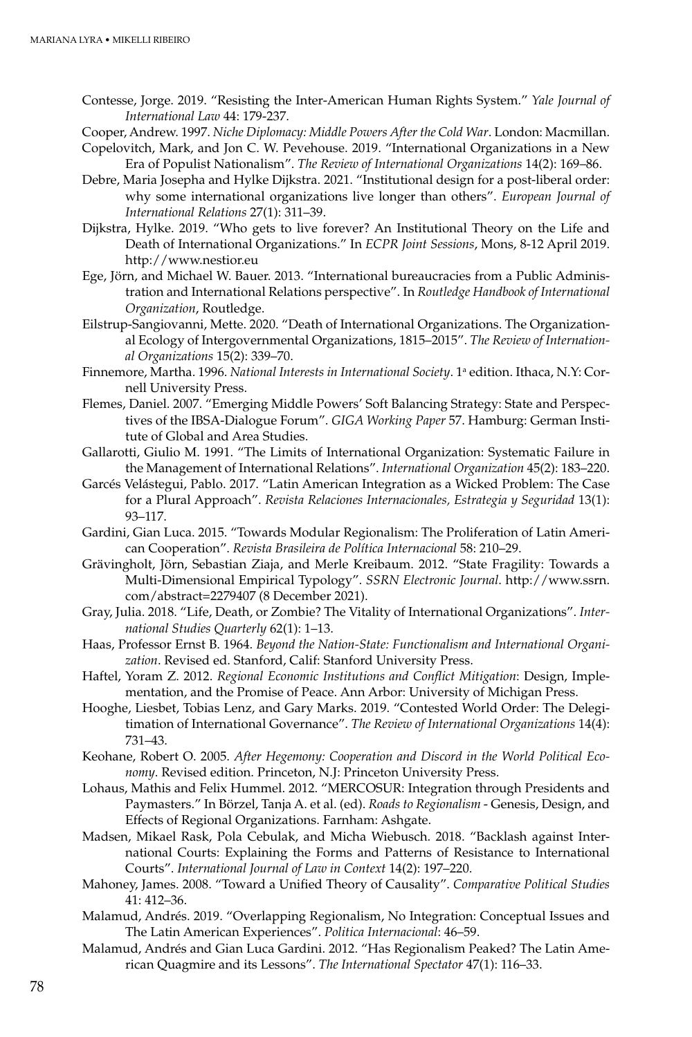- Contesse, Jorge. 2019. "Resisting the Inter-American Human Rights System." *Yale Journal of International Law* 44: 179-237.
- Cooper, Andrew. 1997. *Niche Diplomacy: Middle Powers After the Cold War*. London: Macmillan.
- Copelovitch, Mark, and Jon C. W. Pevehouse. 2019. "International Organizations in a New Era of Populist Nationalism". *The Review of International Organizations* 14(2): 169–86.
- Debre, Maria Josepha and Hylke Dijkstra. 2021. "Institutional design for a post-liberal order: why some international organizations live longer than others". *European Journal of International Relations* 27(1): 311–39.
- Dijkstra, Hylke. 2019. "Who gets to live forever? An Institutional Theory on the Life and Death of International Organizations." In *ECPR Joint Sessions*, Mons, 8-12 April 2019. http://www.nestior.eu
- Ege, Jörn, and Michael W. Bauer. 2013. "International bureaucracies from a Public Administration and International Relations perspective". In *Routledge Handbook of International Organization*, Routledge.
- Eilstrup-Sangiovanni, Mette. 2020. "Death of International Organizations. The Organizational Ecology of Intergovernmental Organizations, 1815–2015". *The Review of International Organizations* 15(2): 339–70.
- Finnemore, Martha. 1996. *National Interests in International Society*. 1a edition. Ithaca, N.Y: Cornell University Press.
- Flemes, Daniel. 2007. "Emerging Middle Powers' Soft Balancing Strategy: State and Perspectives of the IBSA-Dialogue Forum". *GIGA Working Paper* 57. Hamburg: German Institute of Global and Area Studies.
- Gallarotti, Giulio M. 1991. "The Limits of International Organization: Systematic Failure in the Management of International Relations". *International Organization* 45(2): 183–220.
- Garcés Velástegui, Pablo. 2017. "Latin American Integration as a Wicked Problem: The Case for a Plural Approach". *Revista Relaciones Internacionales, Estrategia y Seguridad* 13(1): 93–117.
- Gardini, Gian Luca. 2015. "Towards Modular Regionalism: The Proliferation of Latin American Cooperation". *Revista Brasileira de Política Internacional* 58: 210–29.
- Grävingholt, Jörn, Sebastian Ziaja, and Merle Kreibaum. 2012. "State Fragility: Towards a Multi-Dimensional Empirical Typology". *SSRN Electronic Journal*. http://www.ssrn. com/abstract=2279407 (8 December 2021).
- Gray, Julia. 2018. "Life, Death, or Zombie? The Vitality of International Organizations". *International Studies Quarterly* 62(1): 1–13.
- Haas, Professor Ernst B. 1964. *Beyond the Nation-State: Functionalism and International Organization*. Revised ed. Stanford, Calif: Stanford University Press.
- Haftel, Yoram Z. 2012. *Regional Economic Institutions and Conflict Mitigation*: Design, Implementation, and the Promise of Peace. Ann Arbor: University of Michigan Press.
- Hooghe, Liesbet, Tobias Lenz, and Gary Marks. 2019. "Contested World Order: The Delegitimation of International Governance". *The Review of International Organizations* 14(4): 731–43.
- Keohane, Robert O. 2005. *After Hegemony: Cooperation and Discord in the World Political Economy*. Revised edition. Princeton, N.J: Princeton University Press.
- Lohaus, Mathis and Felix Hummel. 2012. "MERCOSUR: Integration through Presidents and Paymasters." In Börzel, Tanja A. et al. (ed). *Roads to Regionalism* - Genesis, Design, and Effects of Regional Organizations. Farnham: Ashgate.
- Madsen, Mikael Rask, Pola Cebulak, and Micha Wiebusch. 2018. "Backlash against International Courts: Explaining the Forms and Patterns of Resistance to International Courts". *International Journal of Law in Context* 14(2): 197–220.
- Mahoney, James. 2008. "Toward a Unified Theory of Causality". *Comparative Political Studies* 41: 412–36.
- Malamud, Andrés. 2019. "Overlapping Regionalism, No Integration: Conceptual Issues and The Latin American Experiences". *Politica Internacional*: 46–59.
- Malamud, Andrés and Gian Luca Gardini. 2012. "Has Regionalism Peaked? The Latin American Quagmire and its Lessons". *The International Spectator* 47(1): 116–33.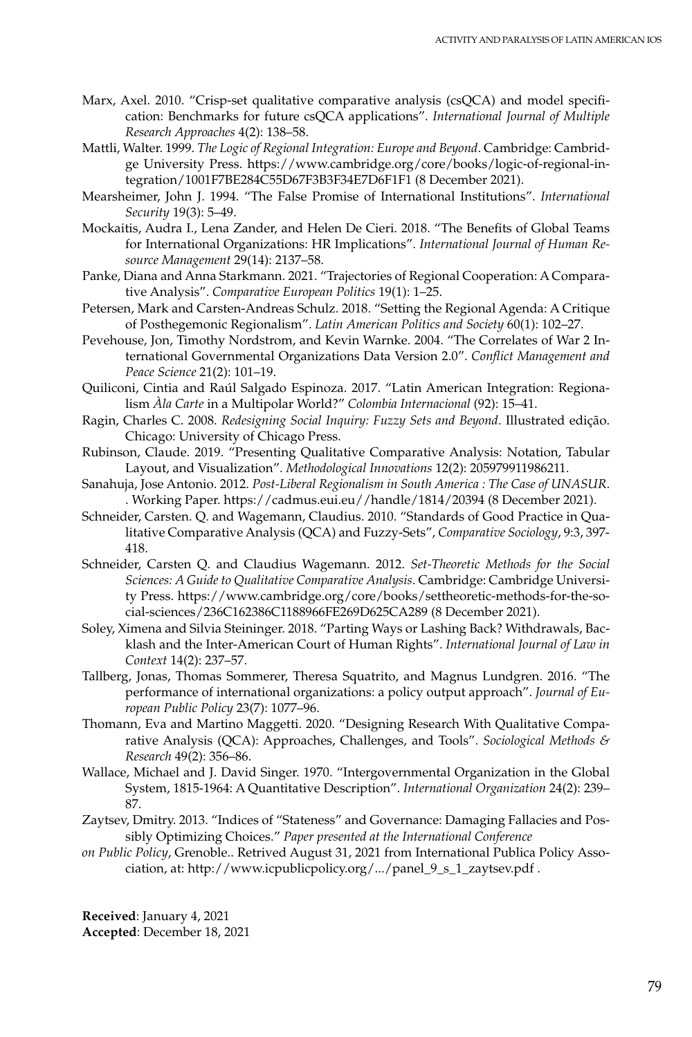- Marx, Axel. 2010. "Crisp-set qualitative comparative analysis (csQCA) and model specification: Benchmarks for future csQCA applications". *International Journal of Multiple Research Approaches* 4(2): 138–58.
- Mattli, Walter. 1999. *The Logic of Regional Integration: Europe and Beyond*. Cambridge: Cambridge University Press. https://www.cambridge.org/core/books/logic-of-regional-integration/1001F7BE284C55D67F3B3F34E7D6F1F1 (8 December 2021).
- Mearsheimer, John J. 1994. "The False Promise of International Institutions". *International Security* 19(3): 5–49.
- Mockaitis, Audra I., Lena Zander, and Helen De Cieri. 2018. "The Benefits of Global Teams for International Organizations: HR Implications". *International Journal of Human Resource Management* 29(14): 2137–58.
- Panke, Diana and Anna Starkmann. 2021. "Trajectories of Regional Cooperation: A Comparative Analysis". *Comparative European Politics* 19(1): 1–25.
- Petersen, Mark and Carsten-Andreas Schulz. 2018. "Setting the Regional Agenda: A Critique of Posthegemonic Regionalism". *Latin American Politics and Society* 60(1): 102–27.
- Pevehouse, Jon, Timothy Nordstrom, and Kevin Warnke. 2004. "The Correlates of War 2 International Governmental Organizations Data Version 2.0". *Conflict Management and Peace Science* 21(2): 101–19.
- Quiliconi, Cintia and Raúl Salgado Espinoza. 2017. "Latin American Integration: Regionalism *Àla Carte* in a Multipolar World?" *Colombia Internacional* (92): 15–41.
- Ragin, Charles C. 2008. *Redesigning Social Inquiry: Fuzzy Sets and Beyond*. Illustrated edição. Chicago: University of Chicago Press.
- Rubinson, Claude. 2019. "Presenting Qualitative Comparative Analysis: Notation, Tabular Layout, and Visualization". *Methodological Innovations* 12(2): 205979911986211.
- Sanahuja, Jose Antonio. 2012. *Post-Liberal Regionalism in South America : The Case of UNASUR*. . Working Paper. https://cadmus.eui.eu//handle/1814/20394 (8 December 2021).
- Schneider, Carsten. Q. and Wagemann, Claudius. 2010. "Standards of Good Practice in Qualitative Comparative Analysis (QCA) and Fuzzy-Sets", *Comparative Sociology*, 9:3, 397- 418.
- Schneider, Carsten Q. and Claudius Wagemann. 2012. *Set-Theoretic Methods for the Social Sciences: A Guide to Qualitative Comparative Analysis*. Cambridge: Cambridge University Press. https://www.cambridge.org/core/books/settheoretic-methods-for-the-social-sciences/236C162386C1188966FE269D625CA289 (8 December 2021).
- Soley, Ximena and Silvia Steininger. 2018. "Parting Ways or Lashing Back? Withdrawals, Backlash and the Inter-American Court of Human Rights". *International Journal of Law in Context* 14(2): 237–57.
- Tallberg, Jonas, Thomas Sommerer, Theresa Squatrito, and Magnus Lundgren. 2016. "The performance of international organizations: a policy output approach". *Journal of European Public Policy* 23(7): 1077–96.
- Thomann, Eva and Martino Maggetti. 2020. "Designing Research With Qualitative Comparative Analysis (QCA): Approaches, Challenges, and Tools". *Sociological Methods & Research* 49(2): 356–86.
- Wallace, Michael and J. David Singer. 1970. "Intergovernmental Organization in the Global System, 1815-1964: A Quantitative Description". *International Organization* 24(2): 239– 87.
- Zaytsev, Dmitry. 2013. "Indices of "Stateness" and Governance: Damaging Fallacies and Possibly Optimizing Choices." *Paper presented at the International Conference*
- *on Public Policy*, Grenoble.. Retrived August 31, 2021 from International Publica Policy Association, at: [http://www.icpublicpolicy.org/.../panel\\_9\\_s\\_1\\_zaytsev.pdf](http://www.icpublicpolicy.org/.../panel_9_s_1_zaytsev.pdf) .

**Received**: January 4, 2021 **Accepted**: December 18, 2021